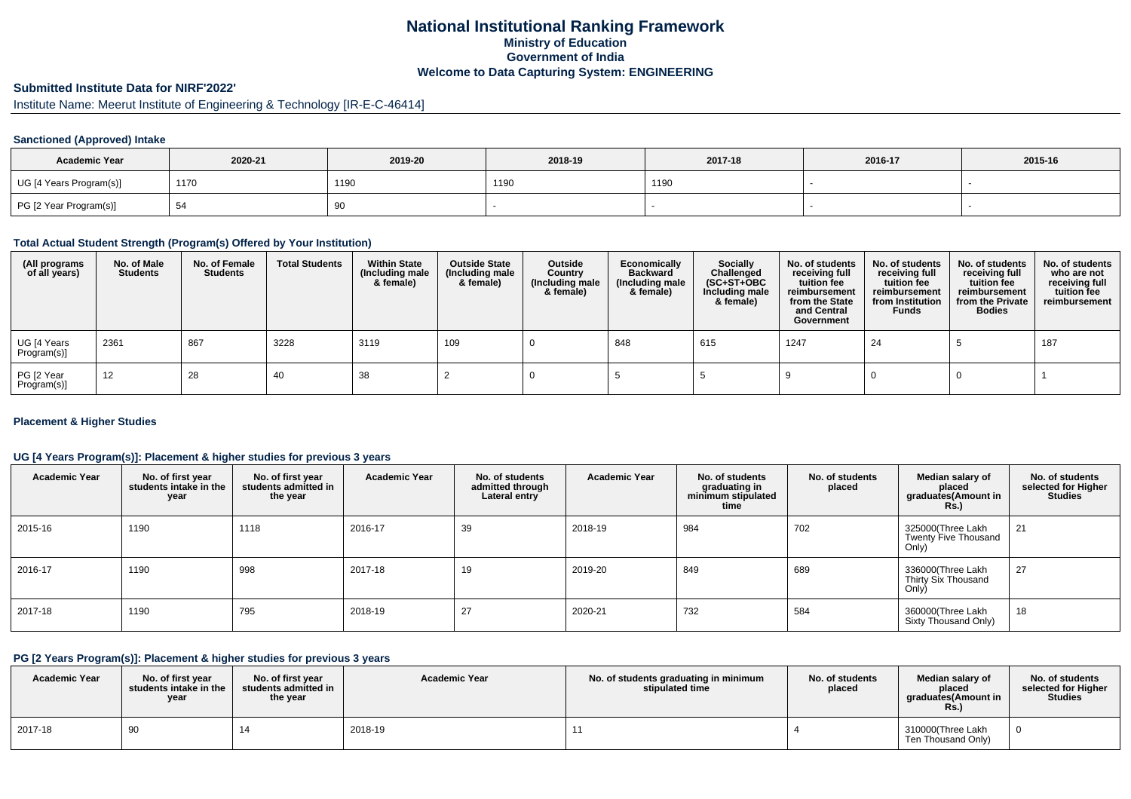## **National Institutional Ranking FrameworkMinistry of Education Government of IndiaWelcome to Data Capturing System: ENGINEERING**

# **Submitted Institute Data for NIRF'2022'**

# Institute Name: Meerut Institute of Engineering & Technology [IR-E-C-46414]

## **Sanctioned (Approved) Intake**

| <b>Academic Year</b>    | 2020-21 | 2019-20 | 2018-19 | 2017-18 | 2016-17 | 2015-16 |
|-------------------------|---------|---------|---------|---------|---------|---------|
| UG [4 Years Program(s)] | 1170    | 1190    | 1190    | 1190    |         |         |
| PG [2 Year Program(s)]  | - ت     | 90      |         |         |         |         |

### **Total Actual Student Strength (Program(s) Offered by Your Institution)**

| (All programs<br>of all years) | No. of Male<br><b>Students</b> | No. of Female<br><b>Students</b> | <b>Total Students</b> | <b>Within State</b><br>(Including male<br>& female) | <b>Outside State</b><br>(Including male<br>& female) | Outside<br>Country<br>(Including male<br>& female) | Economically<br><b>Backward</b><br>(Including male<br>& female) | Socially<br>Challenged<br>$(SC+ST+OBC)$<br>Including male<br>& female) | No. of students<br>receiving full<br>tuition fee<br>reimbursement<br>from the State<br>and Central<br>Government | No. of students<br>receiving full<br>tuition fee<br>reimbursement<br>from Institution<br><b>Funds</b> | No. of students<br>receiving full<br>tuition fee<br>reimbursement<br>from the Private<br><b>Bodies</b> | No. of students<br>who are not<br>receiving full<br>tuition fee<br>reimbursement |
|--------------------------------|--------------------------------|----------------------------------|-----------------------|-----------------------------------------------------|------------------------------------------------------|----------------------------------------------------|-----------------------------------------------------------------|------------------------------------------------------------------------|------------------------------------------------------------------------------------------------------------------|-------------------------------------------------------------------------------------------------------|--------------------------------------------------------------------------------------------------------|----------------------------------------------------------------------------------|
| UG [4 Years<br>Program(s)]     | 2361                           | 867                              | 3228                  | 3119                                                | 109                                                  |                                                    | 848                                                             | 615                                                                    | 1247                                                                                                             | 24                                                                                                    |                                                                                                        | 187                                                                              |
| PG [2 Year<br>Program(s)]      | 12                             | 28                               | -40                   | 38                                                  |                                                      |                                                    |                                                                 |                                                                        |                                                                                                                  |                                                                                                       |                                                                                                        |                                                                                  |

### **Placement & Higher Studies**

## **UG [4 Years Program(s)]: Placement & higher studies for previous 3 years**

| <b>Academic Year</b> | No. of first year<br>students intake in the<br>year | No. of first year<br>students admitted in<br>the year | <b>Academic Year</b> | No. of students<br>admitted through<br>Lateral entry | <b>Academic Year</b> | No. of students<br>graduating in<br>minimum stipulated<br>time | No. of students<br>placed | Median salary of<br>placed<br>graduates(Amount in<br><b>Rs.</b> ) | No. of students<br>selected for Higher<br><b>Studies</b> |
|----------------------|-----------------------------------------------------|-------------------------------------------------------|----------------------|------------------------------------------------------|----------------------|----------------------------------------------------------------|---------------------------|-------------------------------------------------------------------|----------------------------------------------------------|
| 2015-16              | 1190                                                | 1118                                                  | 2016-17              | 39                                                   | 2018-19              | 984                                                            | 702                       | 325000(Three Lakh<br>Twenty Five Thousand<br>Only)                | 21                                                       |
| 2016-17              | 1190                                                | 998                                                   | 2017-18              | 19                                                   | 2019-20              | 849                                                            | 689                       | 336000(Three Lakh<br>Thirty Six Thousand<br>Only)                 | 27                                                       |
| 2017-18              | 1190                                                | 795                                                   | 2018-19              | 27                                                   | 2020-21              | 732                                                            | 584                       | 360000(Three Lakh<br>Sixty Thousand Only)                         | 18                                                       |

#### **PG [2 Years Program(s)]: Placement & higher studies for previous 3 years**

| <b>Academic Year</b> | No. of first vear<br>students intake in the<br>year | No. of first vear<br>students admitted in<br>the year | <b>Academic Year</b> | No. of students graduating in minimum<br>stipulated time | No. of students<br>placed | Median salarv of<br>placed<br>graduates(Amount in<br><b>Rs.</b> ) | No. of students<br>selected for Higher<br><b>Studies</b> |
|----------------------|-----------------------------------------------------|-------------------------------------------------------|----------------------|----------------------------------------------------------|---------------------------|-------------------------------------------------------------------|----------------------------------------------------------|
| 2017-18              | 90                                                  |                                                       | 2018-19              |                                                          |                           | 310000(Three Lakh<br>Ten Thousand Only)                           |                                                          |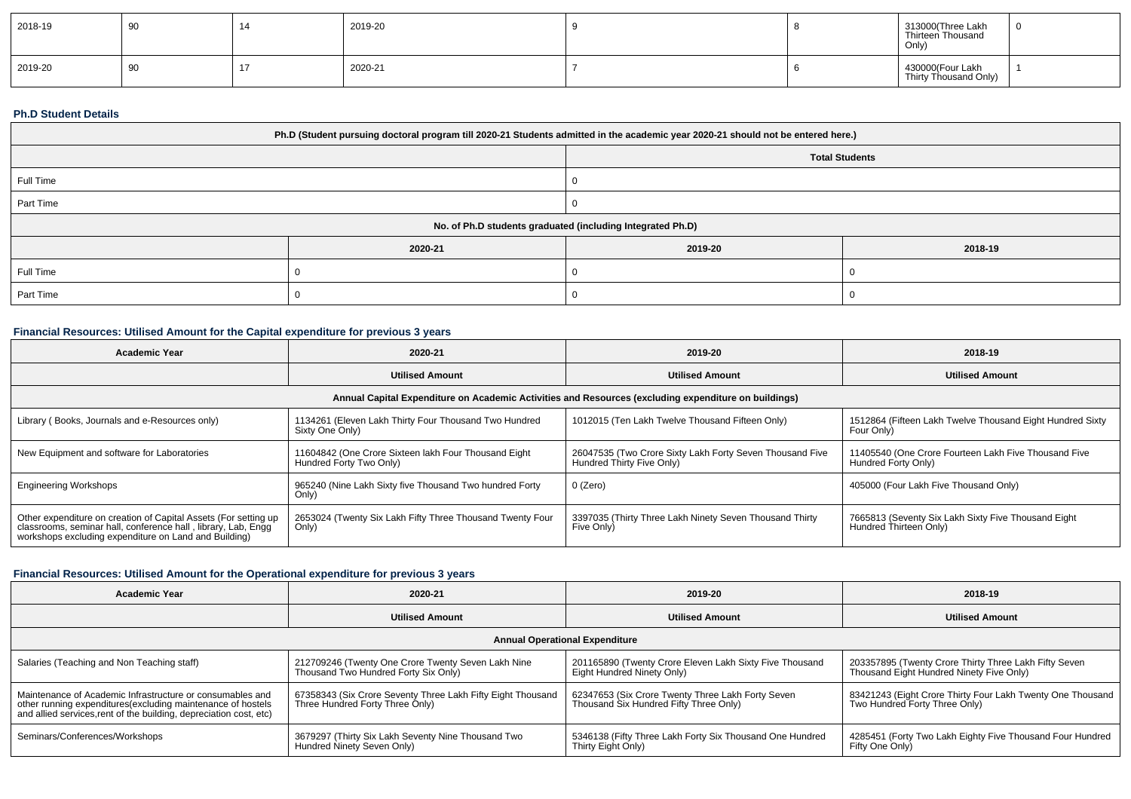| 2018-19 | $\Omega$<br>ັບ | 2019-20 |  | 313000(Three Lakh<br>Thirteen Thousand<br>Only) |  |
|---------|----------------|---------|--|-------------------------------------------------|--|
| 2019-20 | a<br>ິ         | 2020-21 |  | 430000(Four Lakh<br>Thirty Thousand Only)       |  |

#### **Ph.D Student Details**

| Ph.D (Student pursuing doctoral program till 2020-21 Students admitted in the academic year 2020-21 should not be entered here.) |         |         |                       |  |  |
|----------------------------------------------------------------------------------------------------------------------------------|---------|---------|-----------------------|--|--|
|                                                                                                                                  |         |         | <b>Total Students</b> |  |  |
| Full Time                                                                                                                        |         |         |                       |  |  |
| Part Time                                                                                                                        |         |         |                       |  |  |
| No. of Ph.D students graduated (including Integrated Ph.D)                                                                       |         |         |                       |  |  |
|                                                                                                                                  | 2020-21 | 2019-20 | 2018-19               |  |  |
| Full Time                                                                                                                        |         |         |                       |  |  |
| Part Time                                                                                                                        |         |         |                       |  |  |

## **Financial Resources: Utilised Amount for the Capital expenditure for previous 3 years**

| <b>Academic Year</b>                                                                                                                                                                      | 2020-21                                                                         | 2019-20                                                                               | 2018-19                                                                       |  |  |  |  |
|-------------------------------------------------------------------------------------------------------------------------------------------------------------------------------------------|---------------------------------------------------------------------------------|---------------------------------------------------------------------------------------|-------------------------------------------------------------------------------|--|--|--|--|
|                                                                                                                                                                                           | <b>Utilised Amount</b>                                                          | <b>Utilised Amount</b>                                                                | <b>Utilised Amount</b>                                                        |  |  |  |  |
| Annual Capital Expenditure on Academic Activities and Resources (excluding expenditure on buildings)                                                                                      |                                                                                 |                                                                                       |                                                                               |  |  |  |  |
| Library (Books, Journals and e-Resources only)                                                                                                                                            | 1134261 (Eleven Lakh Thirty Four Thousand Two Hundred<br>Sixty One Only)        | 1012015 (Ten Lakh Twelve Thousand Fifteen Only)                                       | 1512864 (Fifteen Lakh Twelve Thousand Eight Hundred Sixty<br>Four Only)       |  |  |  |  |
| New Equipment and software for Laboratories                                                                                                                                               | 11604842 (One Crore Sixteen lakh Four Thousand Eight<br>Hundred Forty Two Only) | 26047535 (Two Crore Sixty Lakh Forty Seven Thousand Five<br>Hundred Thirty Five Only) | 11405540 (One Crore Fourteen Lakh Five Thousand Five<br>Hundred Forty Only)   |  |  |  |  |
| <b>Engineering Workshops</b>                                                                                                                                                              | 965240 (Nine Lakh Sixty five Thousand Two hundred Forty<br>Only)                | 0 (Zero)                                                                              | 405000 (Four Lakh Five Thousand Only)                                         |  |  |  |  |
| Other expenditure on creation of Capital Assets (For setting up<br>classrooms, seminar hall, conference hall, library, Lab, Engg<br>workshops excluding expenditure on Land and Building) | 2653024 (Twenty Six Lakh Fifty Three Thousand Twenty Four<br>Only)              | 3397035 (Thirty Three Lakh Ninety Seven Thousand Thirty<br>Five Only)                 | 7665813 (Seventy Six Lakh Sixty Five Thousand Eight<br>Hundred Thirteen Only) |  |  |  |  |

### **Financial Resources: Utilised Amount for the Operational expenditure for previous 3 years**

| Academic Year                                                                                                                                                                                   | 2020-21                                                                                        | 2019-20                                                                                     | 2018-19                                                                                           |  |  |  |  |  |
|-------------------------------------------------------------------------------------------------------------------------------------------------------------------------------------------------|------------------------------------------------------------------------------------------------|---------------------------------------------------------------------------------------------|---------------------------------------------------------------------------------------------------|--|--|--|--|--|
|                                                                                                                                                                                                 | <b>Utilised Amount</b>                                                                         | <b>Utilised Amount</b>                                                                      | <b>Utilised Amount</b>                                                                            |  |  |  |  |  |
| <b>Annual Operational Expenditure</b>                                                                                                                                                           |                                                                                                |                                                                                             |                                                                                                   |  |  |  |  |  |
| Salaries (Teaching and Non Teaching staff)                                                                                                                                                      | 212709246 (Twenty One Crore Twenty Seven Lakh Nine<br>Thousand Two Hundred Forty Six Only)     | 201165890 (Twenty Crore Eleven Lakh Sixty Five Thousand<br>Eight Hundred Ninety Only)       | 203357895 (Twenty Crore Thirty Three Lakh Fifty Seven<br>Thousand Eight Hundred Ninety Five Only) |  |  |  |  |  |
| Maintenance of Academic Infrastructure or consumables and<br>other running expenditures (excluding maintenance of hostels<br>and allied services, rent of the building, depreciation cost, etc) | 67358343 (Six Crore Seventy Three Lakh Fifty Eight Thousand<br>Three Hundred Forty Three Only) | 62347653 (Six Crore Twenty Three Lakh Forty Seven<br>Thousand Six Hundred Fifty Three Only) | 83421243 (Eight Crore Thirty Four Lakh Twenty One Thousand<br>Two Hundred Forty Three Only)       |  |  |  |  |  |
| Seminars/Conferences/Workshops                                                                                                                                                                  | 3679297 (Thirty Six Lakh Seventy Nine Thousand Two<br>Hundred Ninety Seven Only)               | 5346138 (Fifty Three Lakh Forty Six Thousand One Hundred<br>Thirty Eight Only)              | 4285451 (Forty Two Lakh Eighty Five Thousand Four Hundred<br>Fifty One Only)                      |  |  |  |  |  |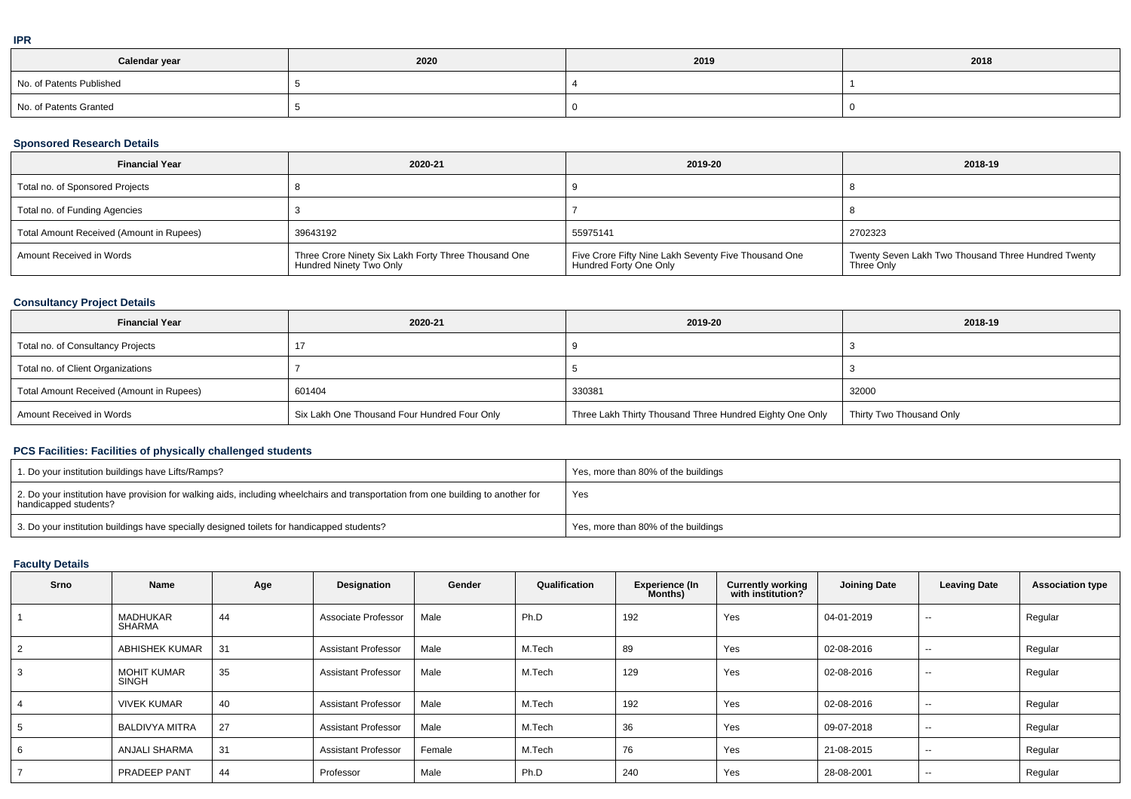| Calendar year            | 2020 | 2019 | 2018 |
|--------------------------|------|------|------|
| No. of Patents Published |      |      |      |
| No. of Patents Granted   |      |      |      |

### **Sponsored Research Details**

| <b>Financial Year</b>                    | 2020-21                                                                         | 2019-20                                                                        | 2018-19                                                           |
|------------------------------------------|---------------------------------------------------------------------------------|--------------------------------------------------------------------------------|-------------------------------------------------------------------|
| Total no. of Sponsored Projects          |                                                                                 |                                                                                |                                                                   |
| Total no. of Funding Agencies            |                                                                                 |                                                                                |                                                                   |
| Total Amount Received (Amount in Rupees) | 39643192                                                                        | 55975141                                                                       | 2702323                                                           |
| Amount Received in Words                 | Three Crore Ninety Six Lakh Forty Three Thousand One<br>Hundred Ninety Two Only | Five Crore Fifty Nine Lakh Seventy Five Thousand One<br>Hundred Forty One Only | Twenty Seven Lakh Two Thousand Three Hundred Twenty<br>Three Only |

## **Consultancy Project Details**

| <b>Financial Year</b>                    | 2020-21                                      | 2019-20                                                  | 2018-19                  |
|------------------------------------------|----------------------------------------------|----------------------------------------------------------|--------------------------|
| Total no. of Consultancy Projects        |                                              |                                                          |                          |
| Total no. of Client Organizations        |                                              |                                                          |                          |
| Total Amount Received (Amount in Rupees) | 601404                                       | 330381                                                   | 32000                    |
| Amount Received in Words                 | Six Lakh One Thousand Four Hundred Four Only | Three Lakh Thirty Thousand Three Hundred Eighty One Only | Thirty Two Thousand Only |

## **PCS Facilities: Facilities of physically challenged students**

| 1. Do your institution buildings have Lifts/Ramps?                                                                                                         | Yes, more than 80% of the buildings |
|------------------------------------------------------------------------------------------------------------------------------------------------------------|-------------------------------------|
| 2. Do your institution have provision for walking aids, including wheelchairs and transportation from one building to another for<br>handicapped students? | Yes                                 |
| 3. Do your institution buildings have specially designed toilets for handicapped students?                                                                 | Yes, more than 80% of the buildings |

## **Faculty Details**

| Srno           | Name                               | Age | Designation                | Gender | Qualification | <b>Experience (In</b><br>Months) | <b>Currently working</b><br>with institution? | <b>Joining Date</b> | <b>Leaving Date</b> | <b>Association type</b> |
|----------------|------------------------------------|-----|----------------------------|--------|---------------|----------------------------------|-----------------------------------------------|---------------------|---------------------|-------------------------|
|                | MADHUKAR<br>SHARMA                 | 44  | Associate Professor        | Male   | Ph.D          | 192                              | Yes                                           | 04-01-2019          | $- -$               | Regular                 |
| $\overline{2}$ | <b>ABHISHEK KUMAR</b>              | 31  | <b>Assistant Professor</b> | Male   | M.Tech        | 89                               | Yes                                           | 02-08-2016          | $- -$               | Regular                 |
| 3              | <b>MOHIT KUMAR</b><br><b>SINGH</b> | 35  | <b>Assistant Professor</b> | Male   | M.Tech        | 129                              | Yes                                           | 02-08-2016          | $\sim$              | Regular                 |
| 4              | <b>VIVEK KUMAR</b>                 | 40  | <b>Assistant Professor</b> | Male   | M.Tech        | 192                              | Yes                                           | 02-08-2016          | $\sim$              | Regular                 |
| 5              | <b>BALDIVYA MITRA</b>              | 27  | <b>Assistant Professor</b> | Male   | M.Tech        | 36                               | Yes                                           | 09-07-2018          | $- -$               | Regular                 |
| 6              | <b>ANJALI SHARMA</b>               | 31  | <b>Assistant Professor</b> | Female | M.Tech        | 76                               | Yes                                           | 21-08-2015          | $\sim$              | Regular                 |
|                | PRADEEP PANT                       | 44  | Professor                  | Male   | Ph.D          | 240                              | Yes                                           | 28-08-2001          | $\sim$              | Regular                 |

**IPR**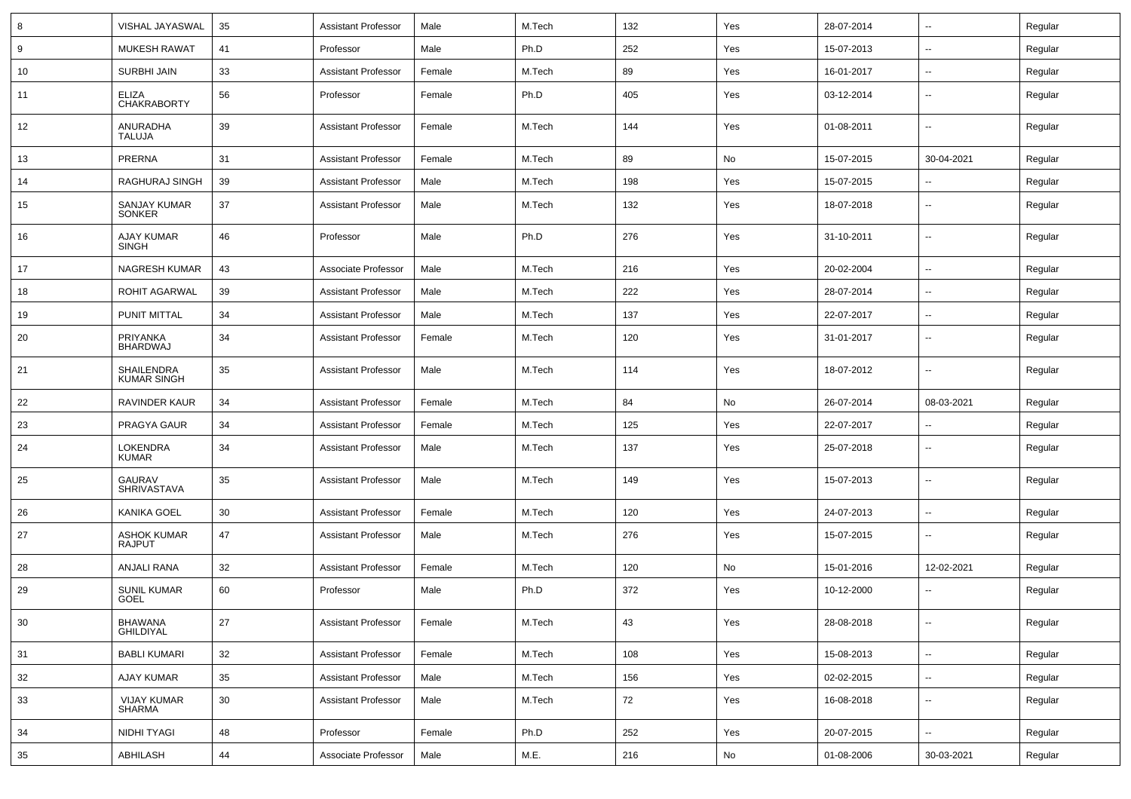| 8  | VISHAL JAYASWAL                     | 35 | <b>Assistant Professor</b> | Male   | M.Tech | 132 | Yes | 28-07-2014 | $\sim$                   | Regular |
|----|-------------------------------------|----|----------------------------|--------|--------|-----|-----|------------|--------------------------|---------|
| 9  | <b>MUKESH RAWAT</b>                 | 41 | Professor                  | Male   | Ph.D   | 252 | Yes | 15-07-2013 | $\sim$                   | Regular |
| 10 | SURBHI JAIN                         | 33 | <b>Assistant Professor</b> | Female | M.Tech | 89  | Yes | 16-01-2017 | $\sim$                   | Regular |
| 11 | <b>ELIZA</b><br><b>CHAKRABORTY</b>  | 56 | Professor                  | Female | Ph.D   | 405 | Yes | 03-12-2014 | $\sim$                   | Regular |
| 12 | ANURADHA<br><b>TALUJA</b>           | 39 | <b>Assistant Professor</b> | Female | M.Tech | 144 | Yes | 01-08-2011 | $\overline{\phantom{a}}$ | Regular |
| 13 | PRERNA                              | 31 | <b>Assistant Professor</b> | Female | M.Tech | 89  | No  | 15-07-2015 | 30-04-2021               | Regular |
| 14 | RAGHURAJ SINGH                      | 39 | <b>Assistant Professor</b> | Male   | M.Tech | 198 | Yes | 15-07-2015 | --                       | Regular |
| 15 | SANJAY KUMAR<br><b>SONKER</b>       | 37 | <b>Assistant Professor</b> | Male   | M.Tech | 132 | Yes | 18-07-2018 | $\sim$                   | Regular |
| 16 | AJAY KUMAR<br><b>SINGH</b>          | 46 | Professor                  | Male   | Ph.D   | 276 | Yes | 31-10-2011 | $\sim$                   | Regular |
| 17 | NAGRESH KUMAR                       | 43 | Associate Professor        | Male   | M.Tech | 216 | Yes | 20-02-2004 | $\sim$                   | Regular |
| 18 | <b>ROHIT AGARWAL</b>                | 39 | <b>Assistant Professor</b> | Male   | M.Tech | 222 | Yes | 28-07-2014 | $\sim$                   | Regular |
| 19 | PUNIT MITTAL                        | 34 | <b>Assistant Professor</b> | Male   | M.Tech | 137 | Yes | 22-07-2017 | $\sim$                   | Regular |
| 20 | PRIYANKA<br><b>BHARDWAJ</b>         | 34 | <b>Assistant Professor</b> | Female | M.Tech | 120 | Yes | 31-01-2017 | $\sim$                   | Regular |
| 21 | SHAILENDRA<br><b>KUMAR SINGH</b>    | 35 | <b>Assistant Professor</b> | Male   | M.Tech | 114 | Yes | 18-07-2012 | $\overline{\phantom{a}}$ | Regular |
| 22 | <b>RAVINDER KAUR</b>                | 34 | <b>Assistant Professor</b> | Female | M.Tech | 84  | No  | 26-07-2014 | 08-03-2021               | Regular |
| 23 | PRAGYA GAUR                         | 34 | <b>Assistant Professor</b> | Female | M.Tech | 125 | Yes | 22-07-2017 |                          | Regular |
| 24 | <b>LOKENDRA</b><br><b>KUMAR</b>     | 34 | <b>Assistant Professor</b> | Male   | M.Tech | 137 | Yes | 25-07-2018 | --                       | Regular |
| 25 | <b>GAURAV</b><br>SHRIVASTAVA        | 35 | <b>Assistant Professor</b> | Male   | M.Tech | 149 | Yes | 15-07-2013 | $\overline{\phantom{a}}$ | Regular |
| 26 | <b>KANIKA GOEL</b>                  | 30 | <b>Assistant Professor</b> | Female | M.Tech | 120 | Yes | 24-07-2013 | --                       | Regular |
| 27 | <b>ASHOK KUMAR</b><br><b>RAJPUT</b> | 47 | <b>Assistant Professor</b> | Male   | M.Tech | 276 | Yes | 15-07-2015 | $\overline{\phantom{a}}$ | Regular |
| 28 | <b>ANJALI RANA</b>                  | 32 | <b>Assistant Professor</b> | Female | M.Tech | 120 | No  | 15-01-2016 | 12-02-2021               | Regular |
| 29 | <b>SUNIL KUMAR</b><br>GOEL          | 60 | Professor                  | Male   | Ph.D   | 372 | Yes | 10-12-2000 | --                       | Regular |
| 30 | <b>BHAWANA</b><br><b>GHILDIYAL</b>  | 27 | <b>Assistant Professor</b> | Female | M.Tech | 43  | Yes | 28-08-2018 | $\sim$                   | Regular |
| 31 | <b>BABLI KUMARI</b>                 | 32 | <b>Assistant Professor</b> | Female | M.Tech | 108 | Yes | 15-08-2013 | $\sim$                   | Regular |
| 32 | AJAY KUMAR                          | 35 | <b>Assistant Professor</b> | Male   | M.Tech | 156 | Yes | 02-02-2015 | $\sim$                   | Regular |
| 33 | VIJAY KUMAR<br>SHARMA               | 30 | <b>Assistant Professor</b> | Male   | M.Tech | 72  | Yes | 16-08-2018 | $\overline{\phantom{a}}$ | Regular |
| 34 | <b>NIDHI TYAGI</b>                  | 48 | Professor                  | Female | Ph.D   | 252 | Yes | 20-07-2015 | $\sim$                   | Regular |
| 35 | ABHILASH                            | 44 | Associate Professor        | Male   | M.E.   | 216 | No  | 01-08-2006 | 30-03-2021               | Regular |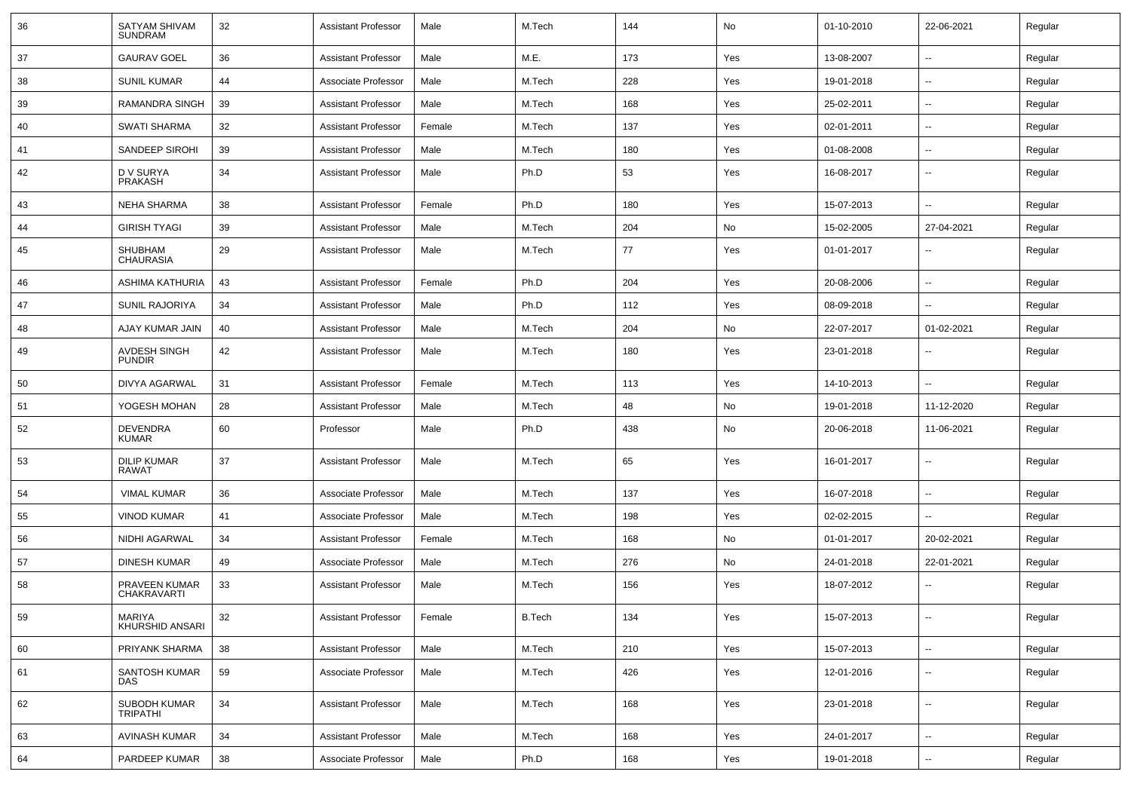| 36 | SATYAM SHIVAM<br><b>SUNDRAM</b>      | 32 | <b>Assistant Professor</b> | Male   | M.Tech        | 144 | No  | 01-10-2010 | 22-06-2021               | Regular |
|----|--------------------------------------|----|----------------------------|--------|---------------|-----|-----|------------|--------------------------|---------|
| 37 | <b>GAURAV GOEL</b>                   | 36 | <b>Assistant Professor</b> | Male   | M.E.          | 173 | Yes | 13-08-2007 | -−                       | Regular |
| 38 | <b>SUNIL KUMAR</b>                   | 44 | Associate Professor        | Male   | M.Tech        | 228 | Yes | 19-01-2018 | --                       | Regular |
| 39 | RAMANDRA SINGH                       | 39 | <b>Assistant Professor</b> | Male   | M.Tech        | 168 | Yes | 25-02-2011 | $\overline{\phantom{a}}$ | Regular |
| 40 | <b>SWATI SHARMA</b>                  | 32 | <b>Assistant Professor</b> | Female | M.Tech        | 137 | Yes | 02-01-2011 | --                       | Regular |
| 41 | SANDEEP SIROHI                       | 39 | <b>Assistant Professor</b> | Male   | M.Tech        | 180 | Yes | 01-08-2008 | $\overline{\phantom{a}}$ | Regular |
| 42 | D V SURYA<br><b>PRAKASH</b>          | 34 | <b>Assistant Professor</b> | Male   | Ph.D          | 53  | Yes | 16-08-2017 | --                       | Regular |
| 43 | <b>NEHA SHARMA</b>                   | 38 | <b>Assistant Professor</b> | Female | Ph.D          | 180 | Yes | 15-07-2013 | $\overline{\phantom{a}}$ | Regular |
| 44 | <b>GIRISH TYAGI</b>                  | 39 | <b>Assistant Professor</b> | Male   | M.Tech        | 204 | No  | 15-02-2005 | 27-04-2021               | Regular |
| 45 | SHUBHAM<br><b>CHAURASIA</b>          | 29 | <b>Assistant Professor</b> | Male   | M.Tech        | 77  | Yes | 01-01-2017 | --                       | Regular |
| 46 | ASHIMA KATHURIA                      | 43 | <b>Assistant Professor</b> | Female | Ph.D          | 204 | Yes | 20-08-2006 | $\overline{\phantom{a}}$ | Regular |
| 47 | SUNIL RAJORIYA                       | 34 | <b>Assistant Professor</b> | Male   | Ph.D          | 112 | Yes | 08-09-2018 | --                       | Regular |
| 48 | AJAY KUMAR JAIN                      | 40 | <b>Assistant Professor</b> | Male   | M.Tech        | 204 | No  | 22-07-2017 | 01-02-2021               | Regular |
| 49 | <b>AVDESH SINGH</b><br><b>PUNDIR</b> | 42 | <b>Assistant Professor</b> | Male   | M.Tech        | 180 | Yes | 23-01-2018 | --                       | Regular |
| 50 | <b>DIVYA AGARWAL</b>                 | 31 | <b>Assistant Professor</b> | Female | M.Tech        | 113 | Yes | 14-10-2013 | Ш,                       | Regular |
| 51 | YOGESH MOHAN                         | 28 | <b>Assistant Professor</b> | Male   | M.Tech        | 48  | No  | 19-01-2018 | 11-12-2020               | Regular |
| 52 | <b>DEVENDRA</b><br><b>KUMAR</b>      | 60 | Professor                  | Male   | Ph.D          | 438 | No  | 20-06-2018 | 11-06-2021               | Regular |
| 53 | <b>DILIP KUMAR</b><br><b>RAWAT</b>   | 37 | <b>Assistant Professor</b> | Male   | M.Tech        | 65  | Yes | 16-01-2017 | н.                       | Regular |
| 54 | <b>VIMAL KUMAR</b>                   | 36 | Associate Professor        | Male   | M.Tech        | 137 | Yes | 16-07-2018 | н.                       | Regular |
| 55 | <b>VINOD KUMAR</b>                   | 41 | Associate Professor        | Male   | M.Tech        | 198 | Yes | 02-02-2015 | --                       | Regular |
| 56 | NIDHI AGARWAL                        | 34 | <b>Assistant Professor</b> | Female | M.Tech        | 168 | No  | 01-01-2017 | 20-02-2021               | Regular |
| 57 | <b>DINESH KUMAR</b>                  | 49 | Associate Professor        | Male   | M.Tech        | 276 | No  | 24-01-2018 | 22-01-2021               | Regular |
| 58 | PRAVEEN KUMAR<br><b>CHAKRAVARTI</b>  | 33 | <b>Assistant Professor</b> | Male   | M.Tech        | 156 | Yes | 18-07-2012 | -−                       | Regular |
| 59 | MARIYA<br>KHURSHID ANSARI            | 32 | <b>Assistant Professor</b> | Female | <b>B.Tech</b> | 134 | Yes | 15-07-2013 |                          | Regular |
| 60 | PRIYANK SHARMA                       | 38 | <b>Assistant Professor</b> | Male   | M.Tech        | 210 | Yes | 15-07-2013 | $\overline{\phantom{a}}$ | Regular |
| 61 | SANTOSH KUMAR<br>DAS                 | 59 | Associate Professor        | Male   | M.Tech        | 426 | Yes | 12-01-2016 | $\overline{\phantom{a}}$ | Regular |
| 62 | SUBODH KUMAR<br>TRIPATHI             | 34 | <b>Assistant Professor</b> | Male   | M.Tech        | 168 | Yes | 23-01-2018 | $\sim$                   | Regular |
| 63 | <b>AVINASH KUMAR</b>                 | 34 | <b>Assistant Professor</b> | Male   | M.Tech        | 168 | Yes | 24-01-2017 | н.                       | Regular |
| 64 | PARDEEP KUMAR                        | 38 | Associate Professor        | Male   | Ph.D          | 168 | Yes | 19-01-2018 | ₩,                       | Regular |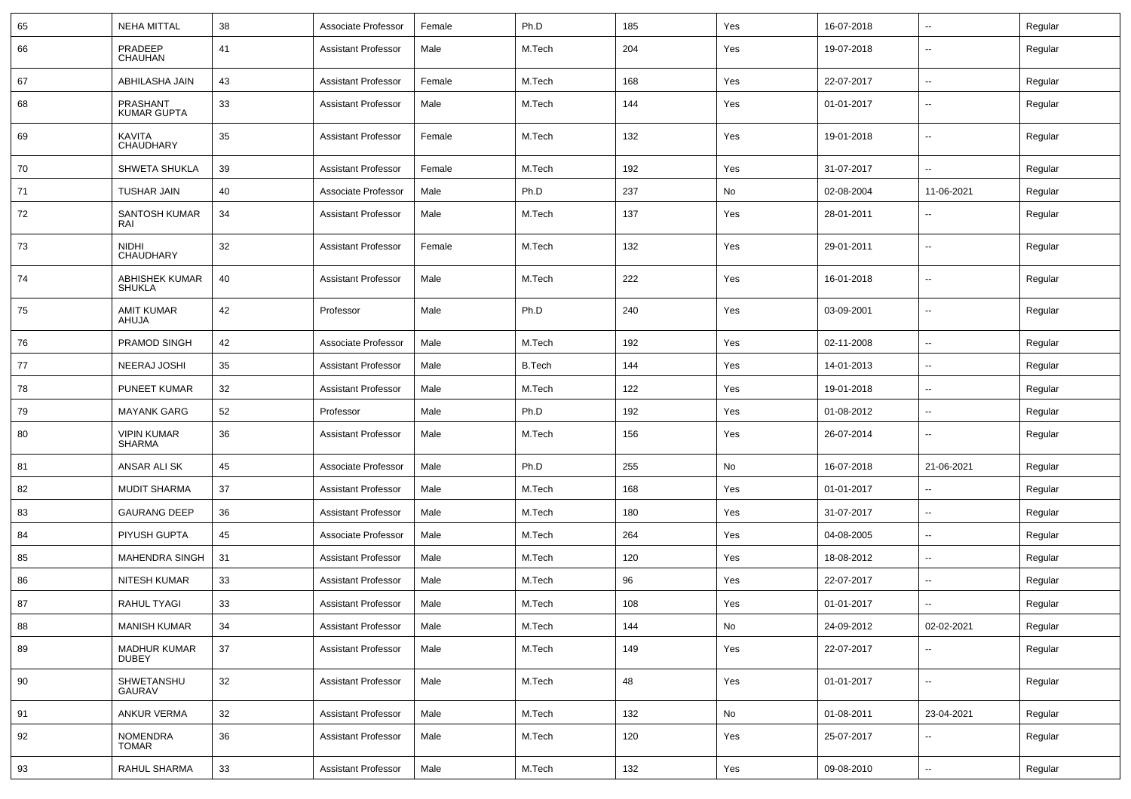| 65 | <b>NEHA MITTAL</b>                  | 38 | Associate Professor        | Female | Ph.D          | 185 | Yes | 16-07-2018 | $\overline{\phantom{a}}$ | Regular |
|----|-------------------------------------|----|----------------------------|--------|---------------|-----|-----|------------|--------------------------|---------|
| 66 | PRADEEP<br>CHAUHAN                  | 41 | <b>Assistant Professor</b> | Male   | M.Tech        | 204 | Yes | 19-07-2018 | $\overline{\phantom{a}}$ | Regular |
| 67 | ABHILASHA JAIN                      | 43 | <b>Assistant Professor</b> | Female | M.Tech        | 168 | Yes | 22-07-2017 | ⊷.                       | Regular |
| 68 | PRASHANT<br><b>KUMAR GUPTA</b>      | 33 | <b>Assistant Professor</b> | Male   | M.Tech        | 144 | Yes | 01-01-2017 | --                       | Regular |
| 69 | KAVITA<br>CHAUDHARY                 | 35 | <b>Assistant Professor</b> | Female | M.Tech        | 132 | Yes | 19-01-2018 | $\overline{\phantom{a}}$ | Regular |
| 70 | <b>SHWETA SHUKLA</b>                | 39 | <b>Assistant Professor</b> | Female | M.Tech        | 192 | Yes | 31-07-2017 | ⊷.                       | Regular |
| 71 | <b>TUSHAR JAIN</b>                  | 40 | Associate Professor        | Male   | Ph.D          | 237 | No  | 02-08-2004 | 11-06-2021               | Regular |
| 72 | SANTOSH KUMAR<br>RAI                | 34 | <b>Assistant Professor</b> | Male   | M.Tech        | 137 | Yes | 28-01-2011 | --                       | Regular |
| 73 | <b>NIDHI</b><br>CHAUDHARY           | 32 | <b>Assistant Professor</b> | Female | M.Tech        | 132 | Yes | 29-01-2011 | --                       | Regular |
| 74 | ABHISHEK KUMAR<br><b>SHUKLA</b>     | 40 | <b>Assistant Professor</b> | Male   | M.Tech        | 222 | Yes | 16-01-2018 | н.                       | Regular |
| 75 | <b>AMIT KUMAR</b><br>AHUJA          | 42 | Professor                  | Male   | Ph.D          | 240 | Yes | 03-09-2001 | -−                       | Regular |
| 76 | PRAMOD SINGH                        | 42 | Associate Professor        | Male   | M.Tech        | 192 | Yes | 02-11-2008 | -−                       | Regular |
| 77 | NEERAJ JOSHI                        | 35 | <b>Assistant Professor</b> | Male   | <b>B.Tech</b> | 144 | Yes | 14-01-2013 | $\overline{\phantom{a}}$ | Regular |
| 78 | <b>PUNEET KUMAR</b>                 | 32 | <b>Assistant Professor</b> | Male   | M.Tech        | 122 | Yes | 19-01-2018 | $\overline{\phantom{a}}$ | Regular |
| 79 | <b>MAYANK GARG</b>                  | 52 | Professor                  | Male   | Ph.D          | 192 | Yes | 01-08-2012 | ⊷.                       | Regular |
| 80 | <b>VIPIN KUMAR</b><br><b>SHARMA</b> | 36 | <b>Assistant Professor</b> | Male   | M.Tech        | 156 | Yes | 26-07-2014 | --                       | Regular |
| 81 | ANSAR ALI SK                        | 45 | Associate Professor        | Male   | Ph.D          | 255 | No  | 16-07-2018 | 21-06-2021               | Regular |
| 82 | <b>MUDIT SHARMA</b>                 | 37 | <b>Assistant Professor</b> | Male   | M.Tech        | 168 | Yes | 01-01-2017 |                          | Regular |
| 83 | <b>GAURANG DEEP</b>                 | 36 | <b>Assistant Professor</b> | Male   | M.Tech        | 180 | Yes | 31-07-2017 | -−                       | Regular |
| 84 | PIYUSH GUPTA                        | 45 | Associate Professor        | Male   | M.Tech        | 264 | Yes | 04-08-2005 | --                       | Regular |
| 85 | <b>MAHENDRA SINGH</b>               | 31 | <b>Assistant Professor</b> | Male   | M.Tech        | 120 | Yes | 18-08-2012 | $\overline{\phantom{a}}$ | Regular |
| 86 | NITESH KUMAR                        | 33 | <b>Assistant Professor</b> | Male   | M.Tech        | 96  | Yes | 22-07-2017 | ⊷.                       | Regular |
| 87 | RAHUL TYAGI                         | 33 | <b>Assistant Professor</b> | Male   | M.Tech        | 108 | Yes | 01-01-2017 | --                       | Regular |
| 88 | <b>MANISH KUMAR</b>                 | 34 | <b>Assistant Professor</b> | Male   | M.Tech        | 144 | No  | 24-09-2012 | 02-02-2021               | Regular |
| 89 | <b>MADHUR KUMAR</b><br><b>DUBEY</b> | 37 | <b>Assistant Professor</b> | Male   | M.Tech        | 149 | Yes | 22-07-2017 |                          | Regular |
| 90 | SHWETANSHU<br><b>GAURAV</b>         | 32 | <b>Assistant Professor</b> | Male   | M.Tech        | 48  | Yes | 01-01-2017 | $\sim$                   | Regular |
| 91 | <b>ANKUR VERMA</b>                  | 32 | <b>Assistant Professor</b> | Male   | M.Tech        | 132 | No  | 01-08-2011 | 23-04-2021               | Regular |
| 92 | NOMENDRA<br>TOMAR                   | 36 | <b>Assistant Professor</b> | Male   | M.Tech        | 120 | Yes | 25-07-2017 | --                       | Regular |
| 93 | RAHUL SHARMA                        | 33 | <b>Assistant Professor</b> | Male   | M.Tech        | 132 | Yes | 09-08-2010 | Щ,                       | Regular |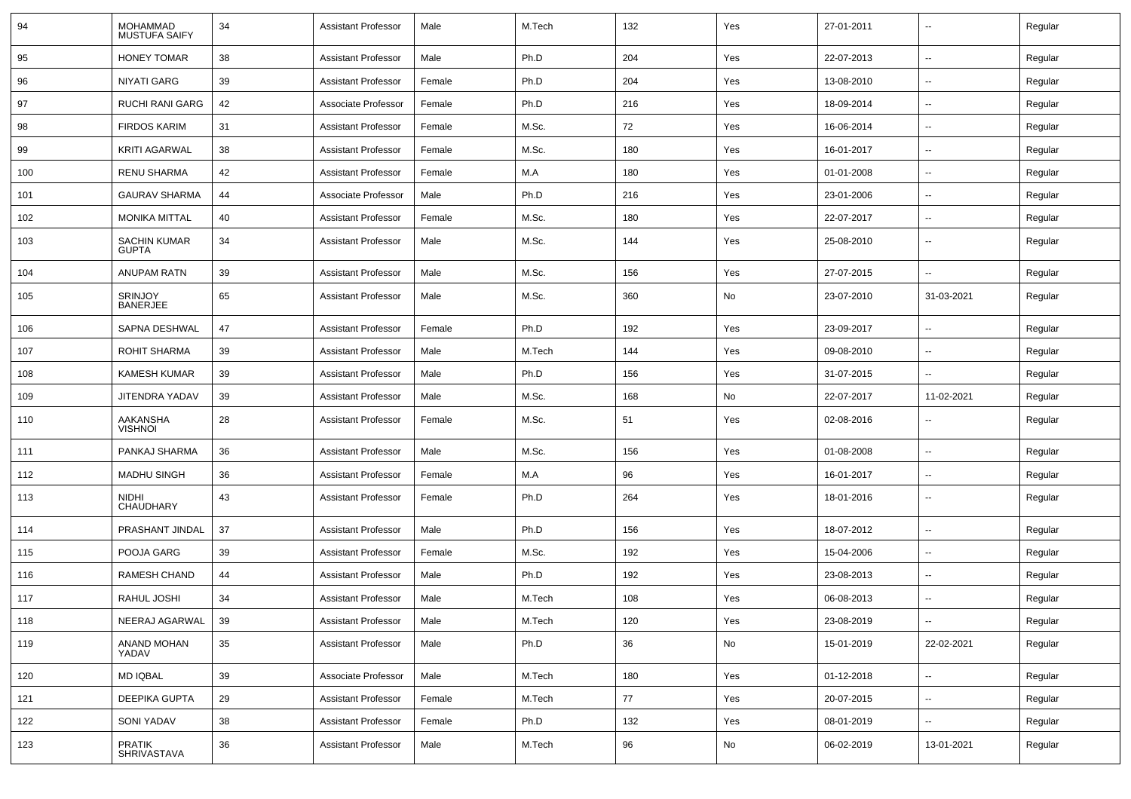| 94  | MOHAMMAD<br><b>MUSTUFA SAIFY</b>    | 34 | Assistant Professor        | Male   | M.Tech | 132 | Yes | 27-01-2011 | $\overline{\phantom{a}}$ | Regular |
|-----|-------------------------------------|----|----------------------------|--------|--------|-----|-----|------------|--------------------------|---------|
| 95  | <b>HONEY TOMAR</b>                  | 38 | <b>Assistant Professor</b> | Male   | Ph.D   | 204 | Yes | 22-07-2013 | $\sim$                   | Regular |
| 96  | <b>NIYATI GARG</b>                  | 39 | <b>Assistant Professor</b> | Female | Ph.D   | 204 | Yes | 13-08-2010 | --                       | Regular |
| 97  | <b>RUCHI RANI GARG</b>              | 42 | Associate Professor        | Female | Ph.D   | 216 | Yes | 18-09-2014 |                          | Regular |
| 98  | <b>FIRDOS KARIM</b>                 | 31 | <b>Assistant Professor</b> | Female | M.Sc.  | 72  | Yes | 16-06-2014 | $\overline{\phantom{a}}$ | Regular |
| 99  | <b>KRITI AGARWAL</b>                | 38 | <b>Assistant Professor</b> | Female | M.Sc.  | 180 | Yes | 16-01-2017 |                          | Regular |
| 100 | <b>RENU SHARMA</b>                  | 42 | <b>Assistant Professor</b> | Female | M.A    | 180 | Yes | 01-01-2008 | $\sim$                   | Regular |
| 101 | <b>GAURAV SHARMA</b>                | 44 | Associate Professor        | Male   | Ph.D   | 216 | Yes | 23-01-2006 | $\sim$                   | Regular |
| 102 | <b>MONIKA MITTAL</b>                | 40 | <b>Assistant Professor</b> | Female | M.Sc.  | 180 | Yes | 22-07-2017 | $\overline{\phantom{a}}$ | Regular |
| 103 | <b>SACHIN KUMAR</b><br><b>GUPTA</b> | 34 | <b>Assistant Professor</b> | Male   | M.Sc.  | 144 | Yes | 25-08-2010 | $\overline{\phantom{a}}$ | Regular |
| 104 | <b>ANUPAM RATN</b>                  | 39 | <b>Assistant Professor</b> | Male   | M.Sc.  | 156 | Yes | 27-07-2015 | $\overline{\phantom{a}}$ | Regular |
| 105 | <b>SRINJOY</b><br><b>BANERJEE</b>   | 65 | <b>Assistant Professor</b> | Male   | M.Sc.  | 360 | No  | 23-07-2010 | 31-03-2021               | Regular |
| 106 | SAPNA DESHWAL                       | 47 | Assistant Professor        | Female | Ph.D   | 192 | Yes | 23-09-2017 |                          | Regular |
| 107 | <b>ROHIT SHARMA</b>                 | 39 | <b>Assistant Professor</b> | Male   | M.Tech | 144 | Yes | 09-08-2010 |                          | Regular |
| 108 | <b>KAMESH KUMAR</b>                 | 39 | <b>Assistant Professor</b> | Male   | Ph.D   | 156 | Yes | 31-07-2015 | $\sim$                   | Regular |
| 109 | JITENDRA YADAV                      | 39 | Assistant Professor        | Male   | M.Sc.  | 168 | No  | 22-07-2017 | 11-02-2021               | Regular |
| 110 | AAKANSHA<br><b>VISHNOI</b>          | 28 | Assistant Professor        | Female | M.Sc.  | 51  | Yes | 02-08-2016 | $\overline{\phantom{a}}$ | Regular |
| 111 | PANKAJ SHARMA                       | 36 | <b>Assistant Professor</b> | Male   | M.Sc.  | 156 | Yes | 01-08-2008 | --                       | Regular |
| 112 | <b>MADHU SINGH</b>                  | 36 | Assistant Professor        | Female | M.A    | 96  | Yes | 16-01-2017 |                          | Regular |
| 113 | <b>NIDHI</b><br><b>CHAUDHARY</b>    | 43 | <b>Assistant Professor</b> | Female | Ph.D   | 264 | Yes | 18-01-2016 | $\overline{\phantom{a}}$ | Regular |
| 114 | PRASHANT JINDAL                     | 37 | <b>Assistant Professor</b> | Male   | Ph.D   | 156 | Yes | 18-07-2012 | $\overline{\phantom{a}}$ | Regular |
| 115 | POOJA GARG                          | 39 | <b>Assistant Professor</b> | Female | M.Sc.  | 192 | Yes | 15-04-2006 |                          | Regular |
| 116 | <b>RAMESH CHAND</b>                 | 44 | <b>Assistant Professor</b> | Male   | Ph.D   | 192 | Yes | 23-08-2013 |                          | Regular |
| 117 | RAHUL JOSHI                         | 34 | <b>Assistant Professor</b> | Male   | M.Tech | 108 | Yes | 06-08-2013 | $\sim$                   | Regular |
| 118 | NEERAJ AGARWAL   39                 |    | Assistant Professor        | Male   | M.Tech | 120 | Yes | 23-08-2019 | $\sim$                   | Regular |
| 119 | ANAND MOHAN<br>YADAV                | 35 | <b>Assistant Professor</b> | Male   | Ph.D   | 36  | No  | 15-01-2019 | 22-02-2021               | Regular |
| 120 | MD IQBAL                            | 39 | Associate Professor        | Male   | M.Tech | 180 | Yes | 01-12-2018 |                          | Regular |
| 121 | DEEPIKA GUPTA                       | 29 | <b>Assistant Professor</b> | Female | M.Tech | 77  | Yes | 20-07-2015 | $\sim$                   | Regular |
| 122 | SONI YADAV                          | 38 | <b>Assistant Professor</b> | Female | Ph.D   | 132 | Yes | 08-01-2019 | $\sim$                   | Regular |
| 123 | PRATIK<br>SHRIVASTAVA               | 36 | <b>Assistant Professor</b> | Male   | M.Tech | 96  | No  | 06-02-2019 | 13-01-2021               | Regular |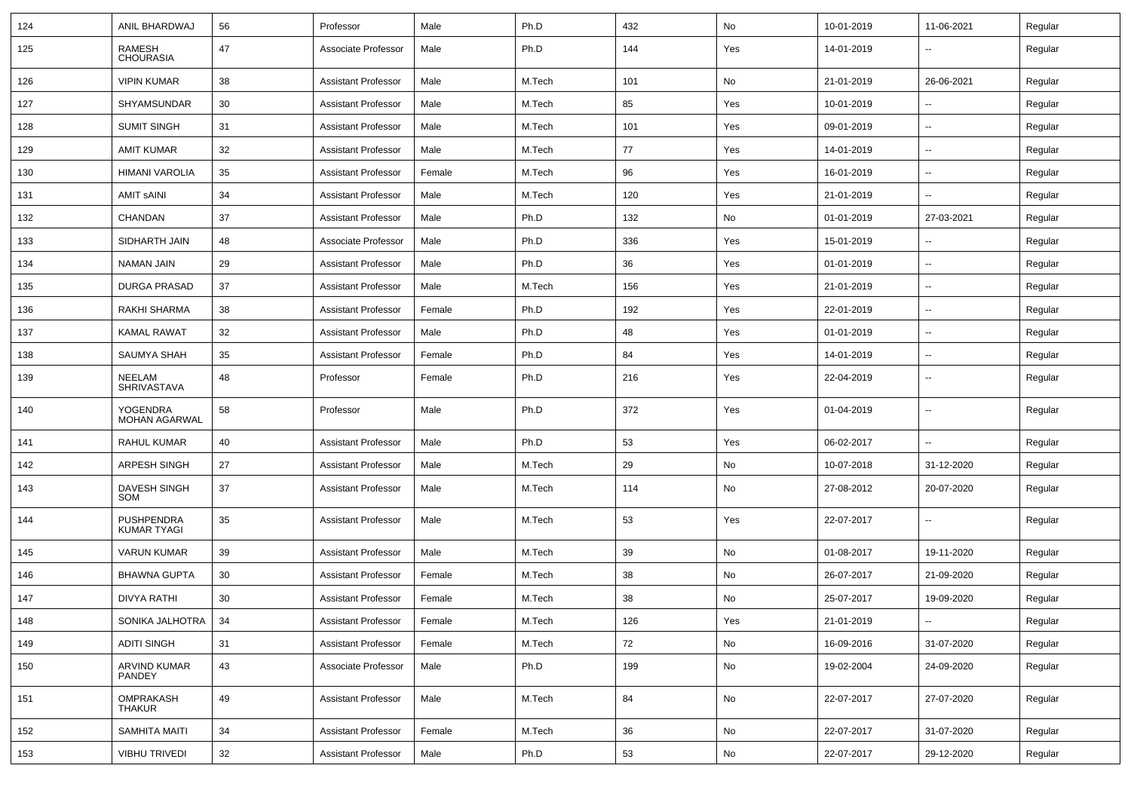| 124 | ANIL BHARDWAJ                           | 56 | Professor                  | Male   | Ph.D   | 432 | No  | 10-01-2019 | 11-06-2021               | Regular |
|-----|-----------------------------------------|----|----------------------------|--------|--------|-----|-----|------------|--------------------------|---------|
| 125 | RAMESH<br><b>CHOURASIA</b>              | 47 | Associate Professor        | Male   | Ph.D   | 144 | Yes | 14-01-2019 | --                       | Regular |
| 126 | <b>VIPIN KUMAR</b>                      | 38 | <b>Assistant Professor</b> | Male   | M.Tech | 101 | No  | 21-01-2019 | 26-06-2021               | Regular |
| 127 | <b>SHYAMSUNDAR</b>                      | 30 | <b>Assistant Professor</b> | Male   | M.Tech | 85  | Yes | 10-01-2019 | $\overline{a}$           | Regular |
| 128 | <b>SUMIT SINGH</b>                      | 31 | <b>Assistant Professor</b> | Male   | M.Tech | 101 | Yes | 09-01-2019 | --                       | Regular |
| 129 | <b>AMIT KUMAR</b>                       | 32 | <b>Assistant Professor</b> | Male   | M.Tech | 77  | Yes | 14-01-2019 | $\overline{\phantom{a}}$ | Regular |
| 130 | <b>HIMANI VAROLIA</b>                   | 35 | <b>Assistant Professor</b> | Female | M.Tech | 96  | Yes | 16-01-2019 | $\overline{\phantom{a}}$ | Regular |
| 131 | <b>AMIT SAINI</b>                       | 34 | <b>Assistant Professor</b> | Male   | M.Tech | 120 | Yes | 21-01-2019 | н.                       | Regular |
| 132 | CHANDAN                                 | 37 | <b>Assistant Professor</b> | Male   | Ph.D   | 132 | No  | 01-01-2019 | 27-03-2021               | Regular |
| 133 | SIDHARTH JAIN                           | 48 | Associate Professor        | Male   | Ph.D   | 336 | Yes | 15-01-2019 | --                       | Regular |
| 134 | <b>NAMAN JAIN</b>                       | 29 | <b>Assistant Professor</b> | Male   | Ph.D   | 36  | Yes | 01-01-2019 | --                       | Regular |
| 135 | <b>DURGA PRASAD</b>                     | 37 | <b>Assistant Professor</b> | Male   | M.Tech | 156 | Yes | 21-01-2019 | $\overline{\phantom{a}}$ | Regular |
| 136 | RAKHI SHARMA                            | 38 | <b>Assistant Professor</b> | Female | Ph.D   | 192 | Yes | 22-01-2019 | н.                       | Regular |
| 137 | <b>KAMAL RAWAT</b>                      | 32 | <b>Assistant Professor</b> | Male   | Ph.D   | 48  | Yes | 01-01-2019 | $\overline{\phantom{a}}$ | Regular |
| 138 | SAUMYA SHAH                             | 35 | <b>Assistant Professor</b> | Female | Ph.D   | 84  | Yes | 14-01-2019 | $-$                      | Regular |
| 139 | NEELAM<br><b>SHRIVASTAVA</b>            | 48 | Professor                  | Female | Ph.D   | 216 | Yes | 22-04-2019 | --                       | Regular |
| 140 | YOGENDRA<br><b>MOHAN AGARWAL</b>        | 58 | Professor                  | Male   | Ph.D   | 372 | Yes | 01-04-2019 | --                       | Regular |
| 141 | <b>RAHUL KUMAR</b>                      | 40 | <b>Assistant Professor</b> | Male   | Ph.D   | 53  | Yes | 06-02-2017 | --                       | Regular |
| 142 | <b>ARPESH SINGH</b>                     | 27 | <b>Assistant Professor</b> | Male   | M.Tech | 29  | No  | 10-07-2018 | 31-12-2020               | Regular |
| 143 | DAVESH SINGH<br>SOM                     | 37 | <b>Assistant Professor</b> | Male   | M.Tech | 114 | No  | 27-08-2012 | 20-07-2020               | Regular |
| 144 | <b>PUSHPENDRA</b><br><b>KUMAR TYAGI</b> | 35 | <b>Assistant Professor</b> | Male   | M.Tech | 53  | Yes | 22-07-2017 | $\overline{\phantom{a}}$ | Regular |
| 145 | <b>VARUN KUMAR</b>                      | 39 | <b>Assistant Professor</b> | Male   | M.Tech | 39  | No  | 01-08-2017 | 19-11-2020               | Regular |
| 146 | <b>BHAWNA GUPTA</b>                     | 30 | <b>Assistant Professor</b> | Female | M.Tech | 38  | No  | 26-07-2017 | 21-09-2020               | Regular |
| 147 | DIVYA RATHI                             | 30 | <b>Assistant Professor</b> | Female | M.Tech | 38  | No  | 25-07-2017 | 19-09-2020               | Regular |
| 148 | SONIKA JALHOTRA   34                    |    | <b>Assistant Professor</b> | Female | M.Tech | 126 | Yes | 21-01-2019 | $\sim$                   | Regular |
| 149 | <b>ADITI SINGH</b>                      | 31 | <b>Assistant Professor</b> | Female | M.Tech | 72  | No  | 16-09-2016 | 31-07-2020               | Regular |
| 150 | ARVIND KUMAR<br>PANDEY                  | 43 | Associate Professor        | Male   | Ph.D   | 199 | No  | 19-02-2004 | 24-09-2020               | Regular |
| 151 | OMPRAKASH<br><b>THAKUR</b>              | 49 | <b>Assistant Professor</b> | Male   | M.Tech | 84  | No  | 22-07-2017 | 27-07-2020               | Regular |
| 152 | <b>SAMHITA MAITI</b>                    | 34 | <b>Assistant Professor</b> | Female | M.Tech | 36  | No  | 22-07-2017 | 31-07-2020               | Regular |
| 153 | <b>VIBHU TRIVEDI</b>                    | 32 | <b>Assistant Professor</b> | Male   | Ph.D   | 53  | No  | 22-07-2017 | 29-12-2020               | Regular |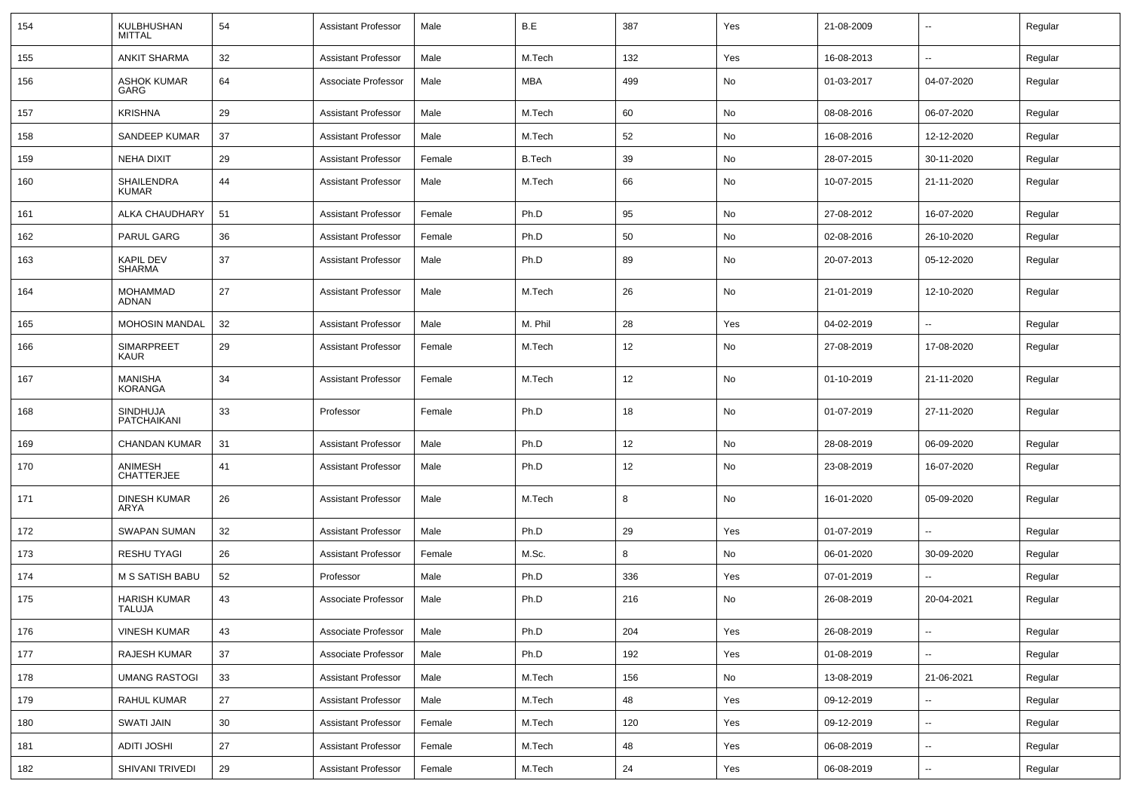| 154 | KULBHUSHAN<br><b>MITTAL</b>       | 54 | <b>Assistant Professor</b> | Male   | B.E           | 387 | Yes | 21-08-2009 | $\overline{\phantom{a}}$ | Regular |
|-----|-----------------------------------|----|----------------------------|--------|---------------|-----|-----|------------|--------------------------|---------|
| 155 | <b>ANKIT SHARMA</b>               | 32 | <b>Assistant Professor</b> | Male   | M.Tech        | 132 | Yes | 16-08-2013 | $\sim$                   | Regular |
| 156 | <b>ASHOK KUMAR</b><br>GARG        | 64 | Associate Professor        | Male   | MBA           | 499 | No  | 01-03-2017 | 04-07-2020               | Regular |
| 157 | <b>KRISHNA</b>                    | 29 | <b>Assistant Professor</b> | Male   | M.Tech        | 60  | No  | 08-08-2016 | 06-07-2020               | Regular |
| 158 | SANDEEP KUMAR                     | 37 | <b>Assistant Professor</b> | Male   | M.Tech        | 52  | No  | 16-08-2016 | 12-12-2020               | Regular |
| 159 | <b>NEHA DIXIT</b>                 | 29 | <b>Assistant Professor</b> | Female | <b>B.Tech</b> | 39  | No  | 28-07-2015 | 30-11-2020               | Regular |
| 160 | SHAILENDRA<br><b>KUMAR</b>        | 44 | <b>Assistant Professor</b> | Male   | M.Tech        | 66  | No  | 10-07-2015 | 21-11-2020               | Regular |
| 161 | ALKA CHAUDHARY                    | 51 | <b>Assistant Professor</b> | Female | Ph.D          | 95  | No  | 27-08-2012 | 16-07-2020               | Regular |
| 162 | <b>PARUL GARG</b>                 | 36 | <b>Assistant Professor</b> | Female | Ph.D          | 50  | No  | 02-08-2016 | 26-10-2020               | Regular |
| 163 | <b>KAPIL DEV</b><br><b>SHARMA</b> | 37 | <b>Assistant Professor</b> | Male   | Ph.D          | 89  | No  | 20-07-2013 | 05-12-2020               | Regular |
| 164 | <b>MOHAMMAD</b><br>ADNAN          | 27 | <b>Assistant Professor</b> | Male   | M.Tech        | 26  | No  | 21-01-2019 | 12-10-2020               | Regular |
| 165 | <b>MOHOSIN MANDAL</b>             | 32 | <b>Assistant Professor</b> | Male   | M. Phil       | 28  | Yes | 04-02-2019 | $\sim$                   | Regular |
| 166 | SIMARPREET<br>KAUR                | 29 | <b>Assistant Professor</b> | Female | M.Tech        | 12  | No  | 27-08-2019 | 17-08-2020               | Regular |
| 167 | <b>MANISHA</b><br><b>KORANGA</b>  | 34 | <b>Assistant Professor</b> | Female | M.Tech        | 12  | No  | 01-10-2019 | 21-11-2020               | Regular |
| 168 | <b>SINDHUJA</b><br>PATCHAIKANI    | 33 | Professor                  | Female | Ph.D          | 18  | No  | 01-07-2019 | 27-11-2020               | Regular |
| 169 | CHANDAN KUMAR                     | 31 | <b>Assistant Professor</b> | Male   | Ph.D          | 12  | No  | 28-08-2019 | 06-09-2020               | Regular |
| 170 | ANIMESH<br><b>CHATTERJEE</b>      | 41 | Assistant Professor        | Male   | Ph.D          | 12  | No  | 23-08-2019 | 16-07-2020               | Regular |
| 171 | <b>DINESH KUMAR</b><br>ARYA       | 26 | <b>Assistant Professor</b> | Male   | M.Tech        | 8   | No  | 16-01-2020 | 05-09-2020               | Regular |
| 172 | <b>SWAPAN SUMAN</b>               | 32 | <b>Assistant Professor</b> | Male   | Ph.D          | 29  | Yes | 01-07-2019 |                          | Regular |
| 173 | <b>RESHU TYAGI</b>                | 26 | <b>Assistant Professor</b> | Female | M.Sc.         | 8   | No  | 06-01-2020 | 30-09-2020               | Regular |
| 174 | M S SATISH BABU                   | 52 | Professor                  | Male   | Ph.D          | 336 | Yes | 07-01-2019 |                          | Regular |
| 175 | <b>HARISH KUMAR</b><br>TALUJA     | 43 | Associate Professor        | Male   | Ph.D          | 216 | No  | 26-08-2019 | 20-04-2021               | Regular |
| 176 | <b>VINESH KUMAR</b>               | 43 | Associate Professor        | Male   | Ph.D          | 204 | Yes | 26-08-2019 | $\overline{\phantom{a}}$ | Regular |
| 177 | RAJESH KUMAR                      | 37 | Associate Professor        | Male   | Ph.D          | 192 | Yes | 01-08-2019 | $\sim$                   | Regular |
| 178 | <b>UMANG RASTOGI</b>              | 33 | <b>Assistant Professor</b> | Male   | M.Tech        | 156 | No  | 13-08-2019 | 21-06-2021               | Regular |
| 179 | RAHUL KUMAR                       | 27 | <b>Assistant Professor</b> | Male   | M.Tech        | 48  | Yes | 09-12-2019 | $\overline{\phantom{a}}$ | Regular |
| 180 | SWATI JAIN                        | 30 | <b>Assistant Professor</b> | Female | M.Tech        | 120 | Yes | 09-12-2019 | $\sim$                   | Regular |
| 181 | <b>ADITI JOSHI</b>                | 27 | <b>Assistant Professor</b> | Female | M.Tech        | 48  | Yes | 06-08-2019 | $\overline{\phantom{a}}$ | Regular |
| 182 | SHIVANI TRIVEDI                   | 29 | <b>Assistant Professor</b> | Female | M.Tech        | 24  | Yes | 06-08-2019 | $\overline{\phantom{a}}$ | Regular |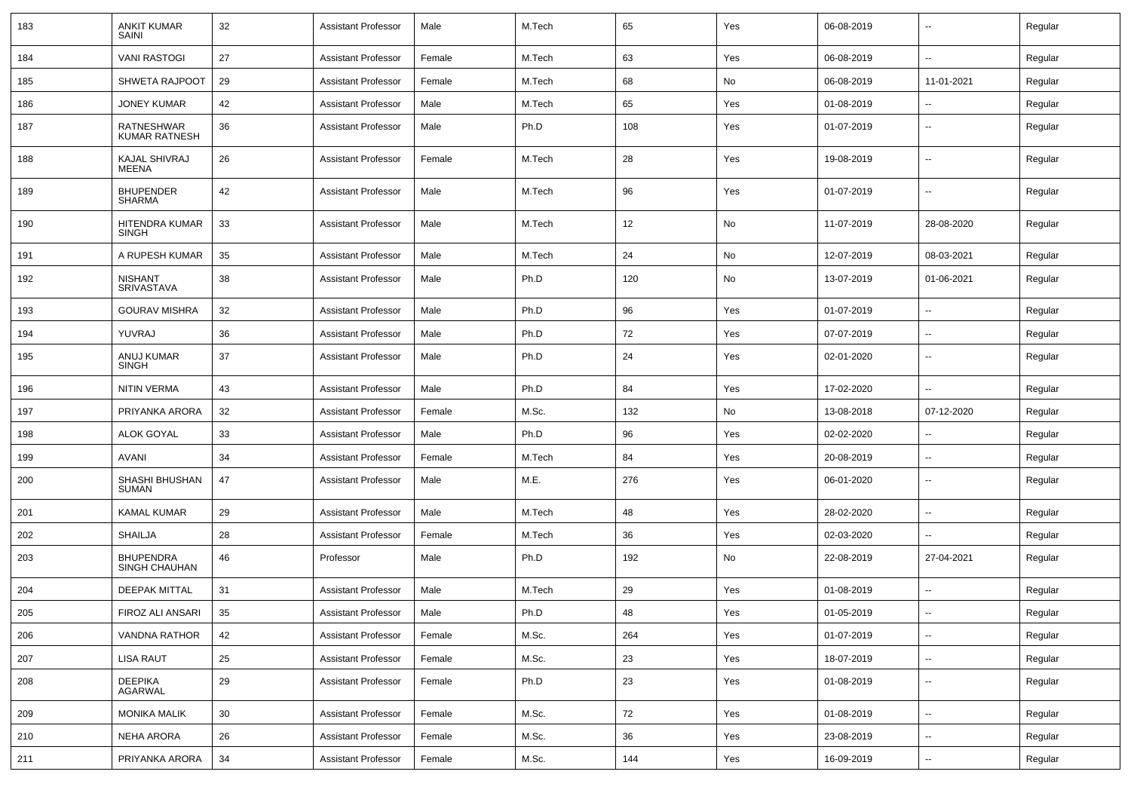| 183 | <b>ANKIT KUMAR</b><br>SAINI              | 32     | <b>Assistant Professor</b> | Male   | M.Tech | 65    | Yes | 06-08-2019 | --                       | Regular |
|-----|------------------------------------------|--------|----------------------------|--------|--------|-------|-----|------------|--------------------------|---------|
| 184 | <b>VANI RASTOGI</b>                      | 27     | <b>Assistant Professor</b> | Female | M.Tech | 63    | Yes | 06-08-2019 | $\sim$                   | Regular |
| 185 | <b>SHWETA RAJPOOT</b>                    | 29     | <b>Assistant Professor</b> | Female | M.Tech | 68    | No  | 06-08-2019 | 11-01-2021               | Regular |
| 186 | <b>JONEY KUMAR</b>                       | 42     | <b>Assistant Professor</b> | Male   | M.Tech | 65    | Yes | 01-08-2019 |                          | Regular |
| 187 | RATNESHWAR<br><b>KUMAR RATNESH</b>       | 36     | <b>Assistant Professor</b> | Male   | Ph.D   | 108   | Yes | 01-07-2019 | --                       | Regular |
| 188 | KAJAL SHIVRAJ<br><b>MEENA</b>            | 26     | <b>Assistant Professor</b> | Female | M.Tech | 28    | Yes | 19-08-2019 | --                       | Regular |
| 189 | <b>BHUPENDER</b><br><b>SHARMA</b>        | 42     | <b>Assistant Professor</b> | Male   | M.Tech | 96    | Yes | 01-07-2019 | ۰.                       | Regular |
| 190 | HITENDRA KUMAR<br>SINGH                  | 33     | <b>Assistant Professor</b> | Male   | M.Tech | 12    | No  | 11-07-2019 | 28-08-2020               | Regular |
| 191 | A RUPESH KUMAR                           | 35     | <b>Assistant Professor</b> | Male   | M.Tech | 24    | No  | 12-07-2019 | 08-03-2021               | Regular |
| 192 | <b>NISHANT</b><br>SRIVASTAVA             | 38     | <b>Assistant Professor</b> | Male   | Ph.D   | 120   | No  | 13-07-2019 | 01-06-2021               | Regular |
| 193 | <b>GOURAV MISHRA</b>                     | 32     | <b>Assistant Professor</b> | Male   | Ph.D   | 96    | Yes | 01-07-2019 | --                       | Regular |
| 194 | YUVRAJ                                   | 36     | <b>Assistant Professor</b> | Male   | Ph.D   | 72    | Yes | 07-07-2019 | $\sim$                   | Regular |
| 195 | ANUJ KUMAR<br><b>SINGH</b>               | 37     | <b>Assistant Professor</b> | Male   | Ph.D   | 24    | Yes | 02-01-2020 | $\overline{\phantom{a}}$ | Regular |
| 196 | <b>NITIN VERMA</b>                       | 43     | <b>Assistant Professor</b> | Male   | Ph.D   | 84    | Yes | 17-02-2020 | $\sim$                   | Regular |
| 197 | PRIYANKA ARORA                           | 32     | <b>Assistant Professor</b> | Female | M.Sc.  | 132   | No  | 13-08-2018 | 07-12-2020               | Regular |
| 198 | <b>ALOK GOYAL</b>                        | 33     | <b>Assistant Professor</b> | Male   | Ph.D   | 96    | Yes | 02-02-2020 | --                       | Regular |
| 199 | AVANI                                    | 34     | <b>Assistant Professor</b> | Female | M.Tech | 84    | Yes | 20-08-2019 | $\overline{\phantom{a}}$ | Regular |
| 200 | SHASHI BHUSHAN<br><b>SUMAN</b>           | 47     | <b>Assistant Professor</b> | Male   | M.E.   | 276   | Yes | 06-01-2020 | --                       | Regular |
| 201 | <b>KAMAL KUMAR</b>                       | 29     | <b>Assistant Professor</b> | Male   | M.Tech | 48    | Yes | 28-02-2020 |                          | Regular |
| 202 | SHAILJA                                  | 28     | <b>Assistant Professor</b> | Female | M.Tech | 36    | Yes | 02-03-2020 |                          | Regular |
| 203 | <b>BHUPENDRA</b><br><b>SINGH CHAUHAN</b> | 46     | Professor                  | Male   | Ph.D   | 192   | No  | 22-08-2019 | 27-04-2021               | Regular |
| 204 | <b>DEEPAK MITTAL</b>                     | 31     | <b>Assistant Professor</b> | Male   | M.Tech | 29    | Yes | 01-08-2019 | $\overline{a}$           | Regular |
| 205 | FIROZ ALI ANSARI                         | 35     | <b>Assistant Professor</b> | Male   | Ph.D   | 48    | Yes | 01-05-2019 | $\overline{\phantom{a}}$ | Regular |
| 206 | <b>VANDNA RATHOR</b>                     | 42     | <b>Assistant Professor</b> | Female | M.Sc.  | 264   | Yes | 01-07-2019 | Ξ.                       | Regular |
| 207 | <b>LISA RAUT</b>                         | 25     | <b>Assistant Professor</b> | Female | M.Sc.  | 23    | Yes | 18-07-2019 | $\overline{\phantom{a}}$ | Regular |
| 208 | <b>DEEPIKA</b><br>AGARWAL                | 29     | <b>Assistant Professor</b> | Female | Ph.D   | 23    | Yes | 01-08-2019 | --                       | Regular |
| 209 | <b>MONIKA MALIK</b>                      | 30     | <b>Assistant Professor</b> | Female | M.Sc.  | 72    | Yes | 01-08-2019 | $\ddot{\phantom{a}}$     | Regular |
| 210 | <b>NEHA ARORA</b>                        | 26     | <b>Assistant Professor</b> | Female | M.Sc.  | 36    | Yes | 23-08-2019 | $\ddot{\phantom{a}}$     | Regular |
| 211 | PRIYANKA ARORA                           | $34\,$ | <b>Assistant Professor</b> | Female | M.Sc.  | $144$ | Yes | 16-09-2019 | $\sim$                   | Regular |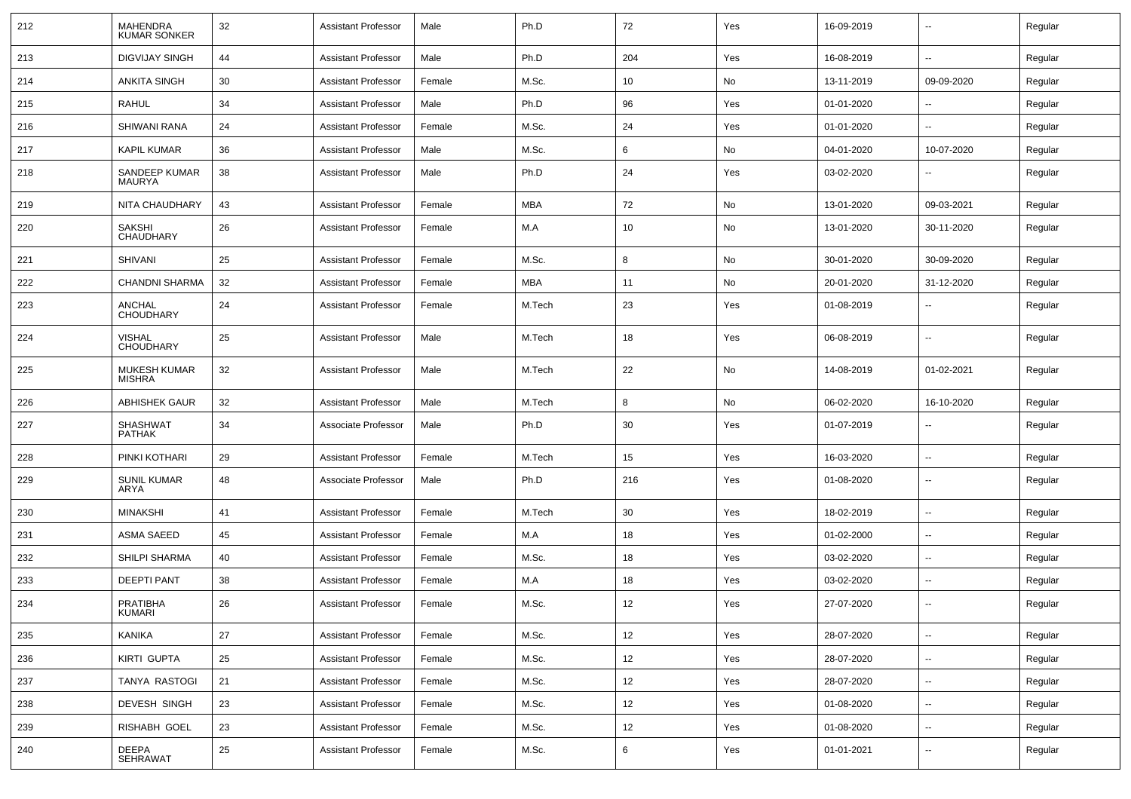| 212 | <b>MAHENDRA</b><br><b>KUMAR SONKER</b> | 32 | <b>Assistant Professor</b> | Male   | Ph.D       | 72  | Yes | 16-09-2019 | --                       | Regular |
|-----|----------------------------------------|----|----------------------------|--------|------------|-----|-----|------------|--------------------------|---------|
| 213 | <b>DIGVIJAY SINGH</b>                  | 44 | <b>Assistant Professor</b> | Male   | Ph.D       | 204 | Yes | 16-08-2019 | $\overline{\phantom{a}}$ | Regular |
| 214 | <b>ANKITA SINGH</b>                    | 30 | <b>Assistant Professor</b> | Female | M.Sc.      | 10  | No  | 13-11-2019 | 09-09-2020               | Regular |
| 215 | <b>RAHUL</b>                           | 34 | <b>Assistant Professor</b> | Male   | Ph.D       | 96  | Yes | 01-01-2020 | --                       | Regular |
| 216 | SHIWANI RANA                           | 24 | <b>Assistant Professor</b> | Female | M.Sc.      | 24  | Yes | 01-01-2020 | --                       | Regular |
| 217 | <b>KAPIL KUMAR</b>                     | 36 | <b>Assistant Professor</b> | Male   | M.Sc.      | 6   | No  | 04-01-2020 | 10-07-2020               | Regular |
| 218 | SANDEEP KUMAR<br>MAURYA                | 38 | <b>Assistant Professor</b> | Male   | Ph.D       | 24  | Yes | 03-02-2020 | --                       | Regular |
| 219 | NITA CHAUDHARY                         | 43 | <b>Assistant Professor</b> | Female | <b>MBA</b> | 72  | No  | 13-01-2020 | 09-03-2021               | Regular |
| 220 | <b>SAKSHI</b><br><b>CHAUDHARY</b>      | 26 | <b>Assistant Professor</b> | Female | M.A        | 10  | No  | 13-01-2020 | 30-11-2020               | Regular |
| 221 | <b>SHIVANI</b>                         | 25 | <b>Assistant Professor</b> | Female | M.Sc.      | 8   | No  | 30-01-2020 | 30-09-2020               | Regular |
| 222 | <b>CHANDNI SHARMA</b>                  | 32 | <b>Assistant Professor</b> | Female | MBA        | 11  | No  | 20-01-2020 | 31-12-2020               | Regular |
| 223 | ANCHAL<br><b>CHOUDHARY</b>             | 24 | <b>Assistant Professor</b> | Female | M.Tech     | 23  | Yes | 01-08-2019 | --                       | Regular |
| 224 | <b>VISHAL</b><br><b>CHOUDHARY</b>      | 25 | <b>Assistant Professor</b> | Male   | M.Tech     | 18  | Yes | 06-08-2019 | --                       | Regular |
| 225 | MUKESH KUMAR<br><b>MISHRA</b>          | 32 | <b>Assistant Professor</b> | Male   | M.Tech     | 22  | No  | 14-08-2019 | 01-02-2021               | Regular |
| 226 | <b>ABHISHEK GAUR</b>                   | 32 | <b>Assistant Professor</b> | Male   | M.Tech     | 8   | No  | 06-02-2020 | 16-10-2020               | Regular |
| 227 | SHASHWAT<br><b>PATHAK</b>              | 34 | Associate Professor        | Male   | Ph.D       | 30  | Yes | 01-07-2019 |                          | Regular |
| 228 | PINKI KOTHARI                          | 29 | <b>Assistant Professor</b> | Female | M.Tech     | 15  | Yes | 16-03-2020 | --                       | Regular |
| 229 | <b>SUNIL KUMAR</b><br>ARYA             | 48 | Associate Professor        | Male   | Ph.D       | 216 | Yes | 01-08-2020 | $\overline{\phantom{a}}$ | Regular |
| 230 | <b>MINAKSHI</b>                        | 41 | <b>Assistant Professor</b> | Female | M.Tech     | 30  | Yes | 18-02-2019 | --                       | Regular |
| 231 | <b>ASMA SAEED</b>                      | 45 | <b>Assistant Professor</b> | Female | M.A        | 18  | Yes | 01-02-2000 | $\overline{\phantom{a}}$ | Regular |
| 232 | <b>SHILPI SHARMA</b>                   | 40 | <b>Assistant Professor</b> | Female | M.Sc.      | 18  | Yes | 03-02-2020 | ⊷.                       | Regular |
| 233 | DEEPTI PANT                            | 38 | <b>Assistant Professor</b> | Female | M.A        | 18  | Yes | 03-02-2020 | --                       | Regular |
| 234 | PRATIBHA<br>KUMARI                     | 26 | <b>Assistant Professor</b> | Female | M.Sc.      | 12  | Yes | 27-07-2020 | --                       | Regular |
| 235 | <b>KANIKA</b>                          | 27 | <b>Assistant Professor</b> | Female | M.Sc.      | 12  | Yes | 28-07-2020 | $\overline{\phantom{a}}$ | Regular |
| 236 | KIRTI GUPTA                            | 25 | <b>Assistant Professor</b> | Female | M.Sc.      | 12  | Yes | 28-07-2020 | ш,                       | Regular |
| 237 | <b>TANYA RASTOGI</b>                   | 21 | <b>Assistant Professor</b> | Female | M.Sc.      | 12  | Yes | 28-07-2020 | н.                       | Regular |
| 238 | DEVESH SINGH                           | 23 | <b>Assistant Professor</b> | Female | M.Sc.      | 12  | Yes | 01-08-2020 | $\sim$                   | Regular |
| 239 | RISHABH GOEL                           | 23 | <b>Assistant Professor</b> | Female | M.Sc.      | 12  | Yes | 01-08-2020 | $\sim$                   | Regular |
| 240 | <b>DEEPA</b><br>SEHRAWAT               | 25 | <b>Assistant Professor</b> | Female | M.Sc.      | 6   | Yes | 01-01-2021 | н.                       | Regular |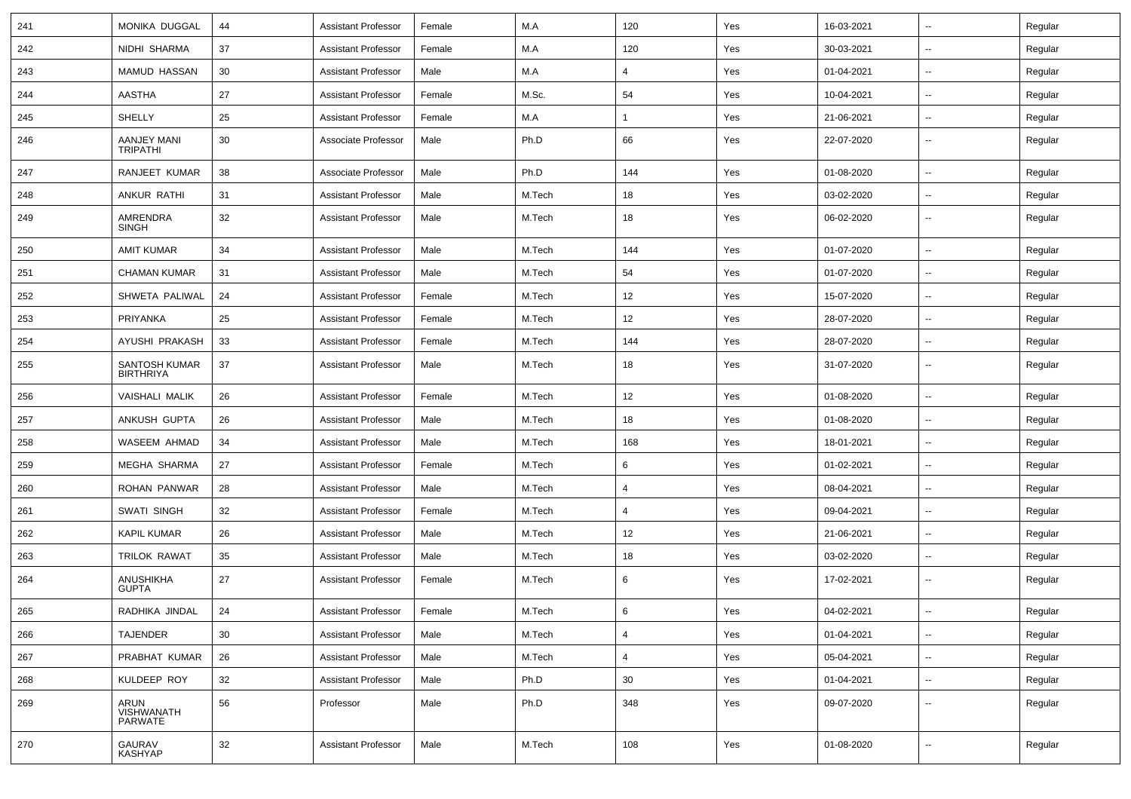| 241 | MONIKA DUGGAL                     | 44 | <b>Assistant Professor</b> | Female | M.A    | 120            | Yes | 16-03-2021 | $\overline{\phantom{a}}$ | Regular |
|-----|-----------------------------------|----|----------------------------|--------|--------|----------------|-----|------------|--------------------------|---------|
| 242 | NIDHI SHARMA                      | 37 | <b>Assistant Professor</b> | Female | M.A    | 120            | Yes | 30-03-2021 | $\overline{\phantom{a}}$ | Regular |
| 243 | MAMUD HASSAN                      | 30 | <b>Assistant Professor</b> | Male   | M.A    | 4              | Yes | 01-04-2021 | --                       | Regular |
| 244 | <b>AASTHA</b>                     | 27 | <b>Assistant Professor</b> | Female | M.Sc.  | 54             | Yes | 10-04-2021 | --                       | Regular |
| 245 | SHELLY                            | 25 | <b>Assistant Professor</b> | Female | M.A    | 1              | Yes | 21-06-2021 | --                       | Regular |
| 246 | AANJEY MANI<br><b>TRIPATHI</b>    | 30 | Associate Professor        | Male   | Ph.D   | 66             | Yes | 22-07-2020 | --                       | Regular |
| 247 | RANJEET KUMAR                     | 38 | Associate Professor        | Male   | Ph.D   | 144            | Yes | 01-08-2020 | $\overline{a}$           | Regular |
| 248 | ANKUR RATHI                       | 31 | <b>Assistant Professor</b> | Male   | M.Tech | 18             | Yes | 03-02-2020 | $\overline{\phantom{a}}$ | Regular |
| 249 | AMRENDRA<br>SINGH                 | 32 | <b>Assistant Professor</b> | Male   | M.Tech | 18             | Yes | 06-02-2020 | --                       | Regular |
| 250 | AMIT KUMAR                        | 34 | <b>Assistant Professor</b> | Male   | M.Tech | 144            | Yes | 01-07-2020 | $\overline{\phantom{a}}$ | Regular |
| 251 | <b>CHAMAN KUMAR</b>               | 31 | <b>Assistant Professor</b> | Male   | M.Tech | 54             | Yes | 01-07-2020 | --                       | Regular |
| 252 | SHWETA PALIWAL                    | 24 | <b>Assistant Professor</b> | Female | M.Tech | 12             | Yes | 15-07-2020 |                          | Regular |
| 253 | PRIYANKA                          | 25 | <b>Assistant Professor</b> | Female | M.Tech | 12             | Yes | 28-07-2020 | -−                       | Regular |
| 254 | AYUSHI PRAKASH                    | 33 | <b>Assistant Professor</b> | Female | M.Tech | 144            | Yes | 28-07-2020 | $\overline{\phantom{a}}$ | Regular |
| 255 | SANTOSH KUMAR<br><b>BIRTHRIYA</b> | 37 | <b>Assistant Professor</b> | Male   | M.Tech | 18             | Yes | 31-07-2020 | $\overline{\phantom{a}}$ | Regular |
| 256 | <b>VAISHALI MALIK</b>             | 26 | <b>Assistant Professor</b> | Female | M.Tech | 12             | Yes | 01-08-2020 | $\overline{\phantom{a}}$ | Regular |
| 257 | ANKUSH GUPTA                      | 26 | <b>Assistant Professor</b> | Male   | M.Tech | 18             | Yes | 01-08-2020 | $\overline{\phantom{a}}$ | Regular |
| 258 | WASEEM AHMAD                      | 34 | <b>Assistant Professor</b> | Male   | M.Tech | 168            | Yes | 18-01-2021 | --                       | Regular |
| 259 | MEGHA SHARMA                      | 27 | <b>Assistant Professor</b> | Female | M.Tech | 6              | Yes | 01-02-2021 | --                       | Regular |
| 260 | ROHAN PANWAR                      | 28 | <b>Assistant Professor</b> | Male   | M.Tech | 4              | Yes | 08-04-2021 | --                       | Regular |
| 261 | SWATI SINGH                       | 32 | <b>Assistant Professor</b> | Female | M.Tech | $\overline{4}$ | Yes | 09-04-2021 | $\overline{a}$           | Regular |
| 262 | <b>KAPIL KUMAR</b>                | 26 | <b>Assistant Professor</b> | Male   | M.Tech | 12             | Yes | 21-06-2021 | $\overline{\phantom{a}}$ | Regular |
| 263 | <b>TRILOK RAWAT</b>               | 35 | <b>Assistant Professor</b> | Male   | M.Tech | 18             | Yes | 03-02-2020 | $\overline{\phantom{a}}$ | Regular |
| 264 | ANUSHIKHA<br><b>GUPTA</b>         | 27 | <b>Assistant Professor</b> | Female | M.Tech | 6              | Yes | 17-02-2021 | --                       | Regular |
| 265 | RADHIKA JINDAL                    | 24 | <b>Assistant Professor</b> | Female | M.Tech | 6              | Yes | 04-02-2021 | $\overline{\phantom{a}}$ | Regular |
| 266 | <b>TAJENDER</b>                   | 30 | <b>Assistant Professor</b> | Male   | M.Tech | $\overline{4}$ | Yes | 01-04-2021 | $\overline{\phantom{a}}$ | Regular |
| 267 | PRABHAT KUMAR                     | 26 | <b>Assistant Professor</b> | Male   | M.Tech | 4              | Yes | 05-04-2021 | ш,                       | Regular |
| 268 | KULDEEP ROY                       | 32 | <b>Assistant Professor</b> | Male   | Ph.D   | 30             | Yes | 01-04-2021 | $\sim$                   | Regular |
| 269 | ARUN<br>VISHWANATH<br>PARWATE     | 56 | Professor                  | Male   | Ph.D   | 348            | Yes | 09-07-2020 | $\overline{\phantom{a}}$ | Regular |
| 270 | <b>GAURAV</b><br><b>KASHYAP</b>   | 32 | <b>Assistant Professor</b> | Male   | M.Tech | 108            | Yes | 01-08-2020 | $\overline{\phantom{a}}$ | Regular |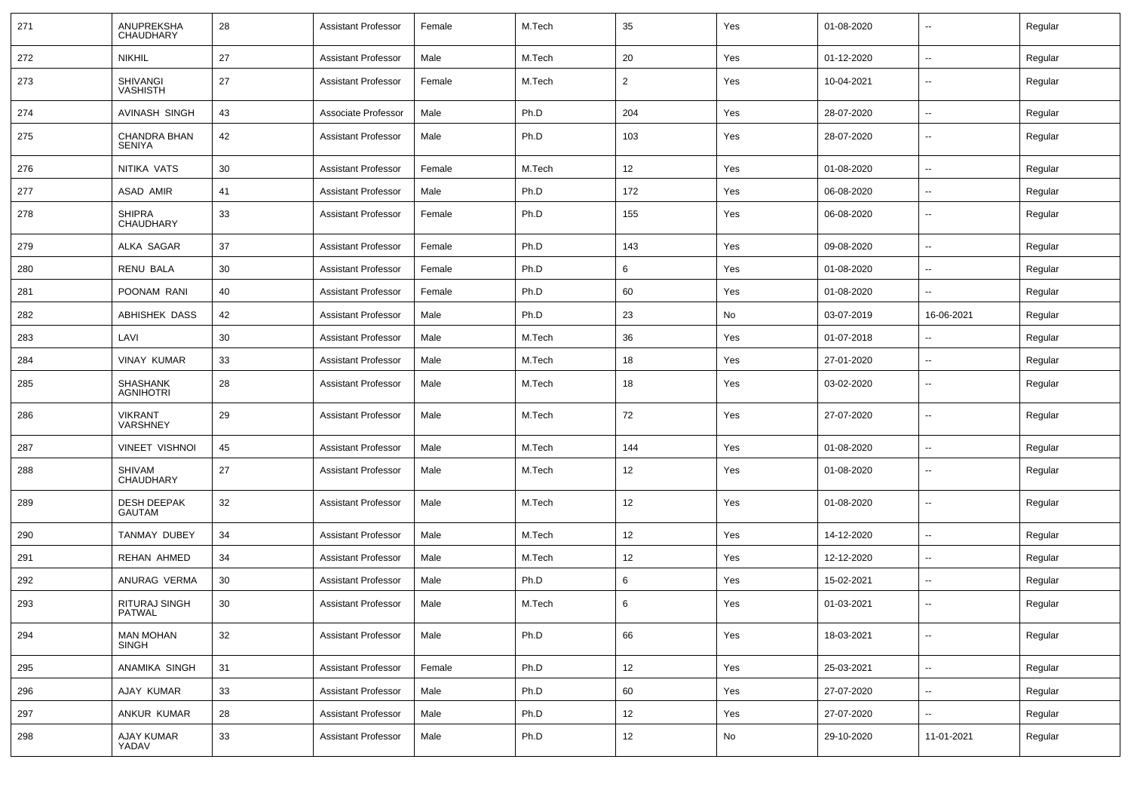| 271 | ANUPREKSHA<br>CHAUDHARY             | 28 | <b>Assistant Professor</b> | Female | M.Tech | 35             | Yes | 01-08-2020 | --                       | Regular |
|-----|-------------------------------------|----|----------------------------|--------|--------|----------------|-----|------------|--------------------------|---------|
| 272 | <b>NIKHIL</b>                       | 27 | <b>Assistant Professor</b> | Male   | M.Tech | 20             | Yes | 01-12-2020 | $\overline{\phantom{a}}$ | Regular |
| 273 | <b>SHIVANGI</b><br><b>VASHISTH</b>  | 27 | <b>Assistant Professor</b> | Female | M.Tech | $\overline{2}$ | Yes | 10-04-2021 | --                       | Regular |
| 274 | AVINASH SINGH                       | 43 | Associate Professor        | Male   | Ph.D   | 204            | Yes | 28-07-2020 | $\overline{\phantom{a}}$ | Regular |
| 275 | CHANDRA BHAN<br>SENIYA              | 42 | <b>Assistant Professor</b> | Male   | Ph.D   | 103            | Yes | 28-07-2020 | $\overline{\phantom{a}}$ | Regular |
| 276 | NITIKA VATS                         | 30 | <b>Assistant Professor</b> | Female | M.Tech | 12             | Yes | 01-08-2020 | $\overline{\phantom{a}}$ | Regular |
| 277 | ASAD AMIR                           | 41 | <b>Assistant Professor</b> | Male   | Ph.D   | 172            | Yes | 06-08-2020 | --                       | Regular |
| 278 | <b>SHIPRA</b><br>CHAUDHARY          | 33 | <b>Assistant Professor</b> | Female | Ph.D   | 155            | Yes | 06-08-2020 | $\overline{\phantom{a}}$ | Regular |
| 279 | ALKA SAGAR                          | 37 | <b>Assistant Professor</b> | Female | Ph.D   | 143            | Yes | 09-08-2020 | $\overline{\phantom{a}}$ | Regular |
| 280 | RENU BALA                           | 30 | <b>Assistant Professor</b> | Female | Ph.D   | 6              | Yes | 01-08-2020 | $\overline{\phantom{a}}$ | Regular |
| 281 | POONAM RANI                         | 40 | <b>Assistant Professor</b> | Female | Ph.D   | 60             | Yes | 01-08-2020 | $\overline{\phantom{a}}$ | Regular |
| 282 | ABHISHEK DASS                       | 42 | <b>Assistant Professor</b> | Male   | Ph.D   | 23             | No  | 03-07-2019 | 16-06-2021               | Regular |
| 283 | LAVI                                | 30 | <b>Assistant Professor</b> | Male   | M.Tech | 36             | Yes | 01-07-2018 | $\overline{\phantom{a}}$ | Regular |
| 284 | <b>VINAY KUMAR</b>                  | 33 | <b>Assistant Professor</b> | Male   | M.Tech | 18             | Yes | 27-01-2020 | $\overline{\phantom{a}}$ | Regular |
| 285 | SHASHANK<br><b>AGNIHOTRI</b>        | 28 | <b>Assistant Professor</b> | Male   | M.Tech | 18             | Yes | 03-02-2020 | $\overline{\phantom{a}}$ | Regular |
| 286 | <b>VIKRANT</b><br><b>VARSHNEY</b>   | 29 | <b>Assistant Professor</b> | Male   | M.Tech | 72             | Yes | 27-07-2020 | $\overline{\phantom{a}}$ | Regular |
| 287 | <b>VINEET VISHNOI</b>               | 45 | <b>Assistant Professor</b> | Male   | M.Tech | 144            | Yes | 01-08-2020 | $\overline{\phantom{a}}$ | Regular |
| 288 | SHIVAM<br><b>CHAUDHARY</b>          | 27 | <b>Assistant Professor</b> | Male   | M.Tech | 12             | Yes | 01-08-2020 | --                       | Regular |
| 289 | <b>DESH DEEPAK</b><br><b>GAUTAM</b> | 32 | <b>Assistant Professor</b> | Male   | M.Tech | 12             | Yes | 01-08-2020 | --                       | Regular |
| 290 | TANMAY DUBEY                        | 34 | <b>Assistant Professor</b> | Male   | M.Tech | 12             | Yes | 14-12-2020 | $\overline{\phantom{a}}$ | Regular |
| 291 | <b>REHAN AHMED</b>                  | 34 | <b>Assistant Professor</b> | Male   | M.Tech | 12             | Yes | 12-12-2020 | --                       | Regular |
| 292 | ANURAG VERMA                        | 30 | <b>Assistant Professor</b> | Male   | Ph.D   | 6              | Yes | 15-02-2021 | $\overline{\phantom{a}}$ | Regular |
| 293 | RITURAJ SINGH<br>PATWAL             | 30 | <b>Assistant Professor</b> | Male   | M.Tech | 6              | Yes | 01-03-2021 | --                       | Regular |
| 294 | <b>MAN MOHAN</b><br><b>SINGH</b>    | 32 | <b>Assistant Professor</b> | Male   | Ph.D   | 66             | Yes | 18-03-2021 | $\overline{\phantom{a}}$ | Regular |
| 295 | ANAMIKA SINGH                       | 31 | <b>Assistant Professor</b> | Female | Ph.D   | 12             | Yes | 25-03-2021 | $\overline{\phantom{a}}$ | Regular |
| 296 | AJAY KUMAR                          | 33 | Assistant Professor        | Male   | Ph.D   | 60             | Yes | 27-07-2020 | Щ,                       | Regular |
| 297 | ANKUR KUMAR                         | 28 | <b>Assistant Professor</b> | Male   | Ph.D   | 12             | Yes | 27-07-2020 | Щ,                       | Regular |
| 298 | <b>AJAY KUMAR</b><br>YADAV          | 33 | <b>Assistant Professor</b> | Male   | Ph.D   | 12             | No  | 29-10-2020 | 11-01-2021               | Regular |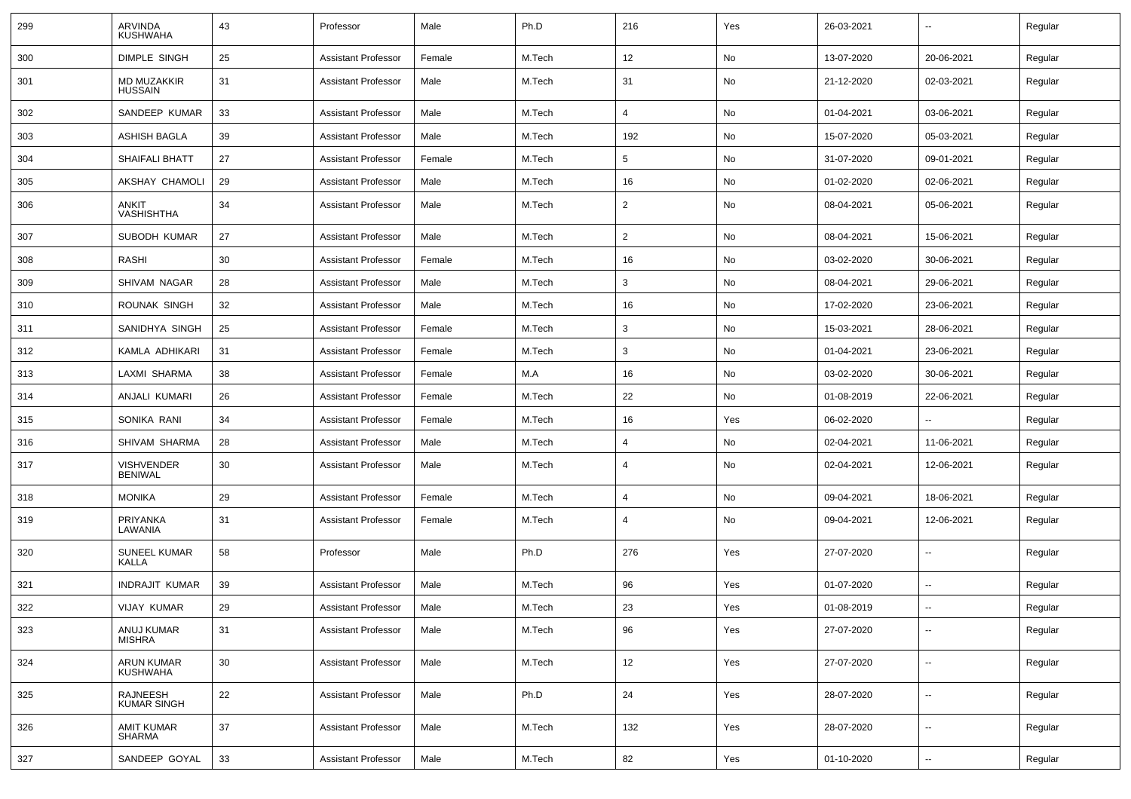| 299 | ARVINDA<br><b>KUSHWAHA</b>           | 43 | Professor                  | Male   | Ph.D   | 216            | Yes | 26-03-2021 | ⊷.         | Regular |
|-----|--------------------------------------|----|----------------------------|--------|--------|----------------|-----|------------|------------|---------|
| 300 | <b>DIMPLE SINGH</b>                  | 25 | <b>Assistant Professor</b> | Female | M.Tech | 12             | No  | 13-07-2020 | 20-06-2021 | Regular |
| 301 | <b>MD MUZAKKIR</b><br><b>HUSSAIN</b> | 31 | <b>Assistant Professor</b> | Male   | M.Tech | 31             | No  | 21-12-2020 | 02-03-2021 | Regular |
| 302 | SANDEEP KUMAR                        | 33 | <b>Assistant Professor</b> | Male   | M.Tech | $\overline{4}$ | No  | 01-04-2021 | 03-06-2021 | Regular |
| 303 | ASHISH BAGLA                         | 39 | <b>Assistant Professor</b> | Male   | M.Tech | 192            | No  | 15-07-2020 | 05-03-2021 | Regular |
| 304 | <b>SHAIFALI BHATT</b>                | 27 | <b>Assistant Professor</b> | Female | M.Tech | 5              | No  | 31-07-2020 | 09-01-2021 | Regular |
| 305 | AKSHAY CHAMOLI                       | 29 | <b>Assistant Professor</b> | Male   | M.Tech | 16             | No  | 01-02-2020 | 02-06-2021 | Regular |
| 306 | ANKIT<br><b>VASHISHTHA</b>           | 34 | <b>Assistant Professor</b> | Male   | M.Tech | $\overline{2}$ | No  | 08-04-2021 | 05-06-2021 | Regular |
| 307 | SUBODH KUMAR                         | 27 | <b>Assistant Professor</b> | Male   | M.Tech | 2              | No  | 08-04-2021 | 15-06-2021 | Regular |
| 308 | <b>RASHI</b>                         | 30 | <b>Assistant Professor</b> | Female | M.Tech | 16             | No  | 03-02-2020 | 30-06-2021 | Regular |
| 309 | SHIVAM NAGAR                         | 28 | <b>Assistant Professor</b> | Male   | M.Tech | 3              | No  | 08-04-2021 | 29-06-2021 | Regular |
| 310 | ROUNAK SINGH                         | 32 | <b>Assistant Professor</b> | Male   | M.Tech | 16             | No  | 17-02-2020 | 23-06-2021 | Regular |
| 311 | SANIDHYA SINGH                       | 25 | <b>Assistant Professor</b> | Female | M.Tech | 3              | No  | 15-03-2021 | 28-06-2021 | Regular |
| 312 | KAMLA ADHIKARI                       | 31 | <b>Assistant Professor</b> | Female | M.Tech | 3              | No  | 01-04-2021 | 23-06-2021 | Regular |
| 313 | LAXMI SHARMA                         | 38 | <b>Assistant Professor</b> | Female | M.A    | 16             | No  | 03-02-2020 | 30-06-2021 | Regular |
| 314 | ANJALI KUMARI                        | 26 | <b>Assistant Professor</b> | Female | M.Tech | 22             | No  | 01-08-2019 | 22-06-2021 | Regular |
| 315 | SONIKA RANI                          | 34 | <b>Assistant Professor</b> | Female | M.Tech | 16             | Yes | 06-02-2020 | --         | Regular |
| 316 | SHIVAM SHARMA                        | 28 | <b>Assistant Professor</b> | Male   | M.Tech | 4              | No  | 02-04-2021 | 11-06-2021 | Regular |
| 317 | <b>VISHVENDER</b><br><b>BENIWAL</b>  | 30 | <b>Assistant Professor</b> | Male   | M.Tech | $\overline{4}$ | No  | 02-04-2021 | 12-06-2021 | Regular |
| 318 | <b>MONIKA</b>                        | 29 | <b>Assistant Professor</b> | Female | M.Tech | 4              | No  | 09-04-2021 | 18-06-2021 | Regular |
| 319 | PRIYANKA<br>LAWANIA                  | 31 | <b>Assistant Professor</b> | Female | M.Tech | 4              | No  | 09-04-2021 | 12-06-2021 | Regular |
| 320 | <b>SUNEEL KUMAR</b><br>KALLA         | 58 | Professor                  | Male   | Ph.D   | 276            | Yes | 27-07-2020 |            | Regular |
| 321 | <b>INDRAJIT KUMAR</b>                | 39 | <b>Assistant Professor</b> | Male   | M.Tech | 96             | Yes | 01-07-2020 | --         | Regular |
| 322 | <b>VIJAY KUMAR</b>                   | 29 | <b>Assistant Professor</b> | Male   | M.Tech | 23             | Yes | 01-08-2019 | --         | Regular |
| 323 | ANUJ KUMAR<br><b>MISHRA</b>          | 31 | <b>Assistant Professor</b> | Male   | M.Tech | 96             | Yes | 27-07-2020 | $\sim$     | Regular |
| 324 | ARUN KUMAR<br><b>KUSHWAHA</b>        | 30 | <b>Assistant Professor</b> | Male   | M.Tech | 12             | Yes | 27-07-2020 | $\sim$     | Regular |
| 325 | RAJNEESH<br><b>KUMAR SINGH</b>       | 22 | <b>Assistant Professor</b> | Male   | Ph.D   | 24             | Yes | 28-07-2020 | $\sim$     | Regular |
| 326 | <b>AMIT KUMAR</b><br><b>SHARMA</b>   | 37 | <b>Assistant Professor</b> | Male   | M.Tech | 132            | Yes | 28-07-2020 | н.         | Regular |
| 327 | SANDEEP GOYAL                        | 33 | <b>Assistant Professor</b> | Male   | M.Tech | 82             | Yes | 01-10-2020 | $\sim$     | Regular |